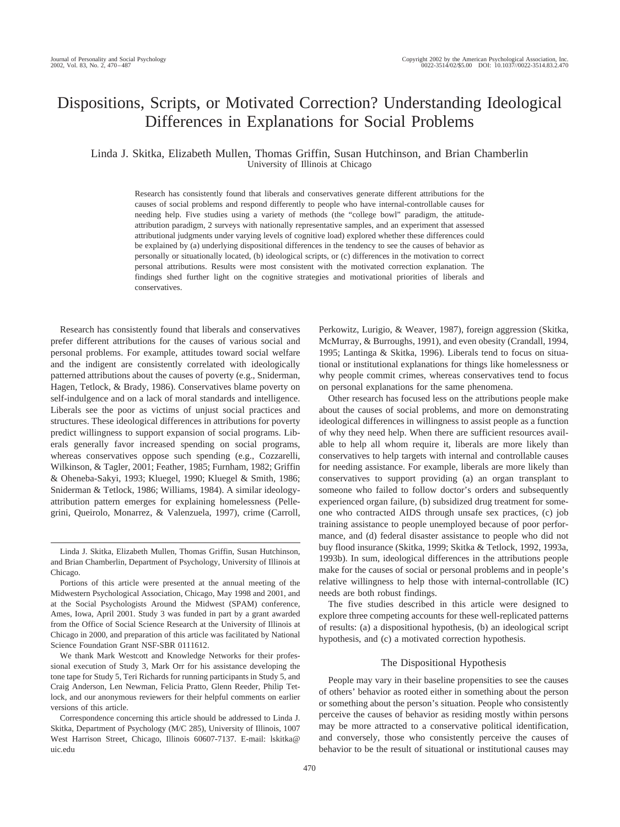# Dispositions, Scripts, or Motivated Correction? Understanding Ideological Differences in Explanations for Social Problems

# Linda J. Skitka, Elizabeth Mullen, Thomas Griffin, Susan Hutchinson, and Brian Chamberlin University of Illinois at Chicago

Research has consistently found that liberals and conservatives generate different attributions for the causes of social problems and respond differently to people who have internal-controllable causes for needing help. Five studies using a variety of methods (the "college bowl" paradigm, the attitudeattribution paradigm, 2 surveys with nationally representative samples, and an experiment that assessed attributional judgments under varying levels of cognitive load) explored whether these differences could be explained by (a) underlying dispositional differences in the tendency to see the causes of behavior as personally or situationally located, (b) ideological scripts, or (c) differences in the motivation to correct personal attributions. Results were most consistent with the motivated correction explanation. The findings shed further light on the cognitive strategies and motivational priorities of liberals and conservatives.

Research has consistently found that liberals and conservatives prefer different attributions for the causes of various social and personal problems. For example, attitudes toward social welfare and the indigent are consistently correlated with ideologically patterned attributions about the causes of poverty (e.g., Sniderman, Hagen, Tetlock, & Brady, 1986). Conservatives blame poverty on self-indulgence and on a lack of moral standards and intelligence. Liberals see the poor as victims of unjust social practices and structures. These ideological differences in attributions for poverty predict willingness to support expansion of social programs. Liberals generally favor increased spending on social programs, whereas conservatives oppose such spending (e.g., Cozzarelli, Wilkinson, & Tagler, 2001; Feather, 1985; Furnham, 1982; Griffin & Oheneba-Sakyi, 1993; Kluegel, 1990; Kluegel & Smith, 1986; Sniderman & Tetlock, 1986; Williams, 1984). A similar ideologyattribution pattern emerges for explaining homelessness (Pellegrini, Queirolo, Monarrez, & Valenzuela, 1997), crime (Carroll,

We thank Mark Westcott and Knowledge Networks for their professional execution of Study 3, Mark Orr for his assistance developing the tone tape for Study 5, Teri Richards for running participants in Study 5, and Craig Anderson, Len Newman, Felicia Pratto, Glenn Reeder, Philip Tetlock, and our anonymous reviewers for their helpful comments on earlier versions of this article.

Correspondence concerning this article should be addressed to Linda J. Skitka, Department of Psychology (M/C 285), University of Illinois, 1007 West Harrison Street, Chicago, Illinois 60607-7137. E-mail: lskitka@ uic.edu

Perkowitz, Lurigio, & Weaver, 1987), foreign aggression (Skitka, McMurray, & Burroughs, 1991), and even obesity (Crandall, 1994, 1995; Lantinga & Skitka, 1996). Liberals tend to focus on situational or institutional explanations for things like homelessness or why people commit crimes, whereas conservatives tend to focus on personal explanations for the same phenomena.

Other research has focused less on the attributions people make about the causes of social problems, and more on demonstrating ideological differences in willingness to assist people as a function of why they need help. When there are sufficient resources available to help all whom require it, liberals are more likely than conservatives to help targets with internal and controllable causes for needing assistance. For example, liberals are more likely than conservatives to support providing (a) an organ transplant to someone who failed to follow doctor's orders and subsequently experienced organ failure, (b) subsidized drug treatment for someone who contracted AIDS through unsafe sex practices, (c) job training assistance to people unemployed because of poor performance, and (d) federal disaster assistance to people who did not buy flood insurance (Skitka, 1999; Skitka & Tetlock, 1992, 1993a, 1993b). In sum, ideological differences in the attributions people make for the causes of social or personal problems and in people's relative willingness to help those with internal-controllable (IC) needs are both robust findings.

The five studies described in this article were designed to explore three competing accounts for these well-replicated patterns of results: (a) a dispositional hypothesis, (b) an ideological script hypothesis, and (c) a motivated correction hypothesis.

# The Dispositional Hypothesis

People may vary in their baseline propensities to see the causes of others' behavior as rooted either in something about the person or something about the person's situation. People who consistently perceive the causes of behavior as residing mostly within persons may be more attracted to a conservative political identification, and conversely, those who consistently perceive the causes of behavior to be the result of situational or institutional causes may

Linda J. Skitka, Elizabeth Mullen, Thomas Griffin, Susan Hutchinson, and Brian Chamberlin, Department of Psychology, University of Illinois at Chicago.

Portions of this article were presented at the annual meeting of the Midwestern Psychological Association, Chicago, May 1998 and 2001, and at the Social Psychologists Around the Midwest (SPAM) conference, Ames, Iowa, April 2001. Study 3 was funded in part by a grant awarded from the Office of Social Science Research at the University of Illinois at Chicago in 2000, and preparation of this article was facilitated by National Science Foundation Grant NSF-SBR 0111612.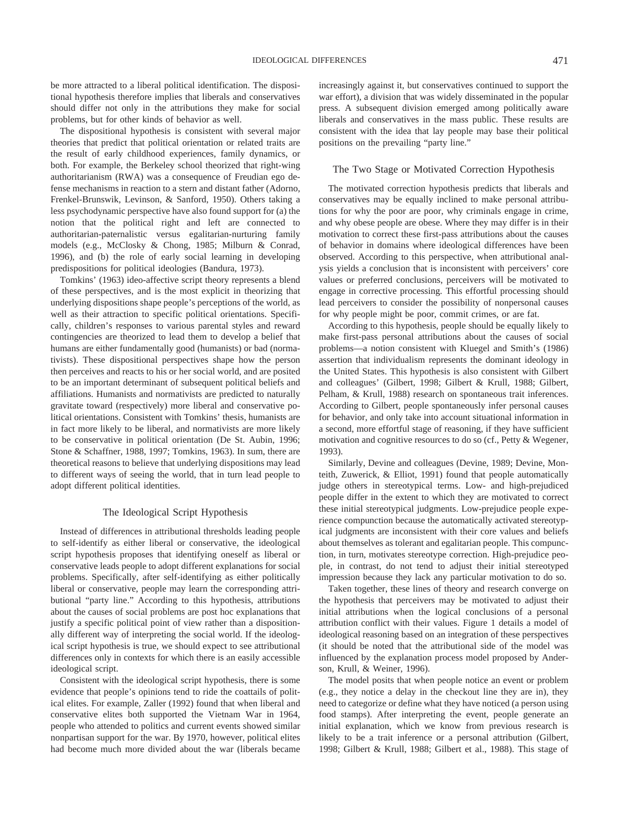be more attracted to a liberal political identification. The dispositional hypothesis therefore implies that liberals and conservatives should differ not only in the attributions they make for social problems, but for other kinds of behavior as well.

The dispositional hypothesis is consistent with several major theories that predict that political orientation or related traits are the result of early childhood experiences, family dynamics, or both. For example, the Berkeley school theorized that right-wing authoritarianism (RWA) was a consequence of Freudian ego defense mechanisms in reaction to a stern and distant father (Adorno, Frenkel-Brunswik, Levinson, & Sanford, 1950). Others taking a less psychodynamic perspective have also found support for (a) the notion that the political right and left are connected to authoritarian-paternalistic versus egalitarian-nurturing family models (e.g., McClosky & Chong, 1985; Milburn & Conrad, 1996), and (b) the role of early social learning in developing predispositions for political ideologies (Bandura, 1973).

Tomkins' (1963) ideo-affective script theory represents a blend of these perspectives, and is the most explicit in theorizing that underlying dispositions shape people's perceptions of the world, as well as their attraction to specific political orientations. Specifically, children's responses to various parental styles and reward contingencies are theorized to lead them to develop a belief that humans are either fundamentally good (humanists) or bad (normativists). These dispositional perspectives shape how the person then perceives and reacts to his or her social world, and are posited to be an important determinant of subsequent political beliefs and affiliations. Humanists and normativists are predicted to naturally gravitate toward (respectively) more liberal and conservative political orientations. Consistent with Tomkins' thesis, humanists are in fact more likely to be liberal, and normativists are more likely to be conservative in political orientation (De St. Aubin, 1996; Stone & Schaffner, 1988, 1997; Tomkins, 1963). In sum, there are theoretical reasons to believe that underlying dispositions may lead to different ways of seeing the world, that in turn lead people to adopt different political identities.

# The Ideological Script Hypothesis

Instead of differences in attributional thresholds leading people to self-identify as either liberal or conservative, the ideological script hypothesis proposes that identifying oneself as liberal or conservative leads people to adopt different explanations for social problems. Specifically, after self-identifying as either politically liberal or conservative, people may learn the corresponding attributional "party line." According to this hypothesis, attributions about the causes of social problems are post hoc explanations that justify a specific political point of view rather than a dispositionally different way of interpreting the social world. If the ideological script hypothesis is true, we should expect to see attributional differences only in contexts for which there is an easily accessible ideological script.

Consistent with the ideological script hypothesis, there is some evidence that people's opinions tend to ride the coattails of political elites. For example, Zaller (1992) found that when liberal and conservative elites both supported the Vietnam War in 1964, people who attended to politics and current events showed similar nonpartisan support for the war. By 1970, however, political elites had become much more divided about the war (liberals became increasingly against it, but conservatives continued to support the war effort), a division that was widely disseminated in the popular press. A subsequent division emerged among politically aware liberals and conservatives in the mass public. These results are consistent with the idea that lay people may base their political positions on the prevailing "party line."

# The Two Stage or Motivated Correction Hypothesis

The motivated correction hypothesis predicts that liberals and conservatives may be equally inclined to make personal attributions for why the poor are poor, why criminals engage in crime, and why obese people are obese. Where they may differ is in their motivation to correct these first-pass attributions about the causes of behavior in domains where ideological differences have been observed. According to this perspective, when attributional analysis yields a conclusion that is inconsistent with perceivers' core values or preferred conclusions, perceivers will be motivated to engage in corrective processing. This effortful processing should lead perceivers to consider the possibility of nonpersonal causes for why people might be poor, commit crimes, or are fat.

According to this hypothesis, people should be equally likely to make first-pass personal attributions about the causes of social problems—a notion consistent with Kluegel and Smith's (1986) assertion that individualism represents the dominant ideology in the United States. This hypothesis is also consistent with Gilbert and colleagues' (Gilbert, 1998; Gilbert & Krull, 1988; Gilbert, Pelham, & Krull, 1988) research on spontaneous trait inferences. According to Gilbert, people spontaneously infer personal causes for behavior, and only take into account situational information in a second, more effortful stage of reasoning, if they have sufficient motivation and cognitive resources to do so (cf., Petty & Wegener, 1993).

Similarly, Devine and colleagues (Devine, 1989; Devine, Monteith, Zuwerick, & Elliot, 1991) found that people automatically judge others in stereotypical terms. Low- and high-prejudiced people differ in the extent to which they are motivated to correct these initial stereotypical judgments. Low-prejudice people experience compunction because the automatically activated stereotypical judgments are inconsistent with their core values and beliefs about themselves as tolerant and egalitarian people. This compunction, in turn, motivates stereotype correction. High-prejudice people, in contrast, do not tend to adjust their initial stereotyped impression because they lack any particular motivation to do so.

Taken together, these lines of theory and research converge on the hypothesis that perceivers may be motivated to adjust their initial attributions when the logical conclusions of a personal attribution conflict with their values. Figure 1 details a model of ideological reasoning based on an integration of these perspectives (it should be noted that the attributional side of the model was influenced by the explanation process model proposed by Anderson, Krull, & Weiner, 1996).

The model posits that when people notice an event or problem (e.g., they notice a delay in the checkout line they are in), they need to categorize or define what they have noticed (a person using food stamps). After interpreting the event, people generate an initial explanation, which we know from previous research is likely to be a trait inference or a personal attribution (Gilbert, 1998; Gilbert & Krull, 1988; Gilbert et al., 1988). This stage of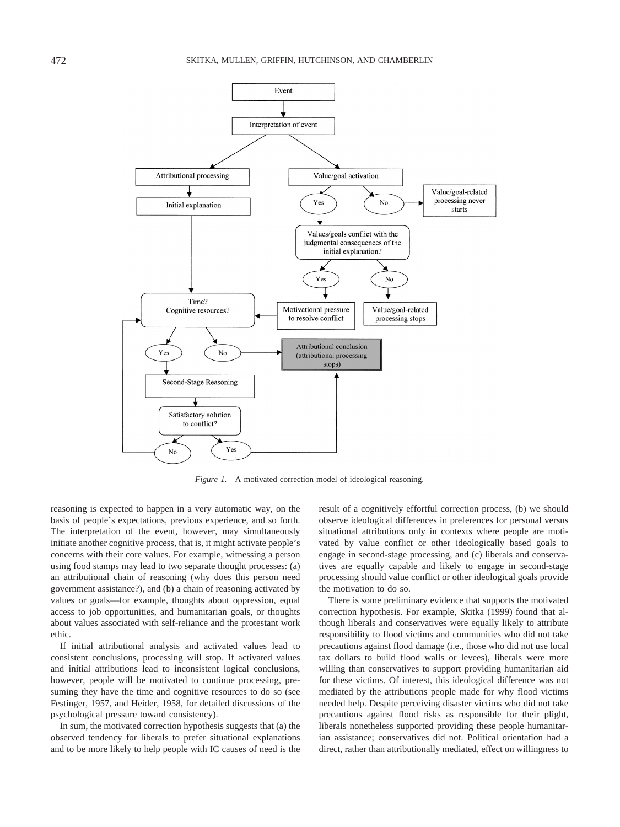

*Figure 1.* A motivated correction model of ideological reasoning.

reasoning is expected to happen in a very automatic way, on the basis of people's expectations, previous experience, and so forth. The interpretation of the event, however, may simultaneously initiate another cognitive process, that is, it might activate people's concerns with their core values. For example, witnessing a person using food stamps may lead to two separate thought processes: (a) an attributional chain of reasoning (why does this person need government assistance?), and (b) a chain of reasoning activated by values or goals—for example, thoughts about oppression, equal access to job opportunities, and humanitarian goals, or thoughts about values associated with self-reliance and the protestant work ethic.

If initial attributional analysis and activated values lead to consistent conclusions, processing will stop. If activated values and initial attributions lead to inconsistent logical conclusions, however, people will be motivated to continue processing, presuming they have the time and cognitive resources to do so (see Festinger, 1957, and Heider, 1958, for detailed discussions of the psychological pressure toward consistency).

In sum, the motivated correction hypothesis suggests that (a) the observed tendency for liberals to prefer situational explanations and to be more likely to help people with IC causes of need is the result of a cognitively effortful correction process, (b) we should observe ideological differences in preferences for personal versus situational attributions only in contexts where people are motivated by value conflict or other ideologically based goals to engage in second-stage processing, and (c) liberals and conservatives are equally capable and likely to engage in second-stage processing should value conflict or other ideological goals provide the motivation to do so.

There is some preliminary evidence that supports the motivated correction hypothesis. For example, Skitka (1999) found that although liberals and conservatives were equally likely to attribute responsibility to flood victims and communities who did not take precautions against flood damage (i.e., those who did not use local tax dollars to build flood walls or levees), liberals were more willing than conservatives to support providing humanitarian aid for these victims. Of interest, this ideological difference was not mediated by the attributions people made for why flood victims needed help. Despite perceiving disaster victims who did not take precautions against flood risks as responsible for their plight, liberals nonetheless supported providing these people humanitarian assistance; conservatives did not. Political orientation had a direct, rather than attributionally mediated, effect on willingness to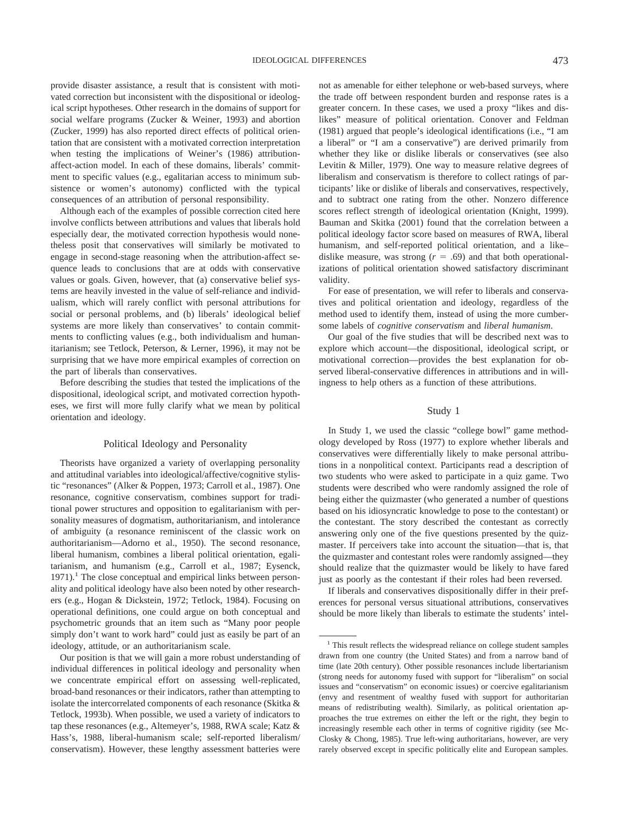provide disaster assistance, a result that is consistent with motivated correction but inconsistent with the dispositional or ideological script hypotheses. Other research in the domains of support for social welfare programs (Zucker & Weiner, 1993) and abortion (Zucker, 1999) has also reported direct effects of political orientation that are consistent with a motivated correction interpretation when testing the implications of Weiner's (1986) attributionaffect-action model. In each of these domains, liberals' commitment to specific values (e.g., egalitarian access to minimum subsistence or women's autonomy) conflicted with the typical consequences of an attribution of personal responsibility.

Although each of the examples of possible correction cited here involve conflicts between attributions and values that liberals hold especially dear, the motivated correction hypothesis would nonetheless posit that conservatives will similarly be motivated to engage in second-stage reasoning when the attribution-affect sequence leads to conclusions that are at odds with conservative values or goals. Given, however, that (a) conservative belief systems are heavily invested in the value of self-reliance and individualism, which will rarely conflict with personal attributions for social or personal problems, and (b) liberals' ideological belief systems are more likely than conservatives' to contain commitments to conflicting values (e.g., both individualism and humanitarianism; see Tetlock, Peterson, & Lerner, 1996), it may not be surprising that we have more empirical examples of correction on the part of liberals than conservatives.

Before describing the studies that tested the implications of the dispositional, ideological script, and motivated correction hypotheses, we first will more fully clarify what we mean by political orientation and ideology.

# Political Ideology and Personality

Theorists have organized a variety of overlapping personality and attitudinal variables into ideological/affective/cognitive stylistic "resonances" (Alker & Poppen, 1973; Carroll et al., 1987). One resonance, cognitive conservatism, combines support for traditional power structures and opposition to egalitarianism with personality measures of dogmatism, authoritarianism, and intolerance of ambiguity (a resonance reminiscent of the classic work on authoritarianism—Adorno et al., 1950). The second resonance, liberal humanism, combines a liberal political orientation, egalitarianism, and humanism (e.g., Carroll et al., 1987; Eysenck,  $1971$ ).<sup>1</sup> The close conceptual and empirical links between personality and political ideology have also been noted by other researchers (e.g., Hogan & Dickstein, 1972; Tetlock, 1984). Focusing on operational definitions, one could argue on both conceptual and psychometric grounds that an item such as "Many poor people simply don't want to work hard" could just as easily be part of an ideology, attitude, or an authoritarianism scale.

Our position is that we will gain a more robust understanding of individual differences in political ideology and personality when we concentrate empirical effort on assessing well-replicated, broad-band resonances or their indicators, rather than attempting to isolate the intercorrelated components of each resonance (Skitka & Tetlock, 1993b). When possible, we used a variety of indicators to tap these resonances (e.g., Altemeyer's, 1988, RWA scale; Katz & Hass's, 1988, liberal-humanism scale; self-reported liberalism/ conservatism). However, these lengthy assessment batteries were

not as amenable for either telephone or web-based surveys, where the trade off between respondent burden and response rates is a greater concern. In these cases, we used a proxy "likes and dislikes" measure of political orientation. Conover and Feldman (1981) argued that people's ideological identifications (i.e., "I am a liberal" or "I am a conservative") are derived primarily from whether they like or dislike liberals or conservatives (see also Levitin & Miller, 1979). One way to measure relative degrees of liberalism and conservatism is therefore to collect ratings of participants' like or dislike of liberals and conservatives, respectively, and to subtract one rating from the other. Nonzero difference scores reflect strength of ideological orientation (Knight, 1999). Bauman and Skitka (2001) found that the correlation between a political ideology factor score based on measures of RWA, liberal humanism, and self-reported political orientation, and a like– dislike measure, was strong  $(r = .69)$  and that both operationalizations of political orientation showed satisfactory discriminant validity.

For ease of presentation, we will refer to liberals and conservatives and political orientation and ideology, regardless of the method used to identify them, instead of using the more cumbersome labels of *cognitive conservatism* and *liberal humanism*.

Our goal of the five studies that will be described next was to explore which account—the dispositional, ideological script, or motivational correction—provides the best explanation for observed liberal-conservative differences in attributions and in willingness to help others as a function of these attributions.

# Study 1

In Study 1, we used the classic "college bowl" game methodology developed by Ross (1977) to explore whether liberals and conservatives were differentially likely to make personal attributions in a nonpolitical context. Participants read a description of two students who were asked to participate in a quiz game. Two students were described who were randomly assigned the role of being either the quizmaster (who generated a number of questions based on his idiosyncratic knowledge to pose to the contestant) or the contestant. The story described the contestant as correctly answering only one of the five questions presented by the quizmaster. If perceivers take into account the situation—that is, that the quizmaster and contestant roles were randomly assigned—they should realize that the quizmaster would be likely to have fared just as poorly as the contestant if their roles had been reversed.

If liberals and conservatives dispositionally differ in their preferences for personal versus situational attributions, conservatives should be more likely than liberals to estimate the students' intel-

<sup>&</sup>lt;sup>1</sup> This result reflects the widespread reliance on college student samples drawn from one country (the United States) and from a narrow band of time (late 20th century). Other possible resonances include libertarianism (strong needs for autonomy fused with support for "liberalism" on social issues and "conservatism" on economic issues) or coercive egalitarianism (envy and resentment of wealthy fused with support for authoritarian means of redistributing wealth). Similarly, as political orientation approaches the true extremes on either the left or the right, they begin to increasingly resemble each other in terms of cognitive rigidity (see Mc-Closky & Chong, 1985). True left-wing authoritarians, however, are very rarely observed except in specific politically elite and European samples.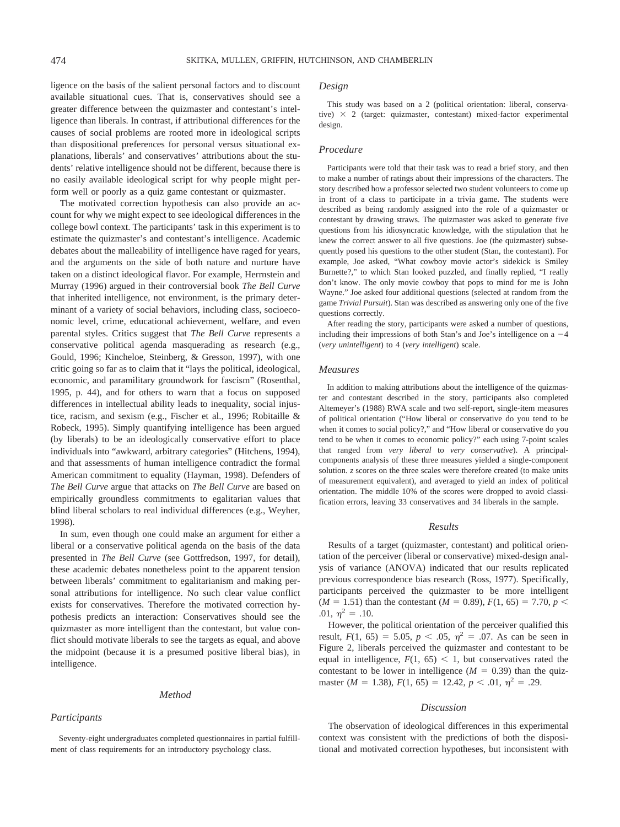ligence on the basis of the salient personal factors and to discount available situational cues. That is, conservatives should see a greater difference between the quizmaster and contestant's intelligence than liberals. In contrast, if attributional differences for the causes of social problems are rooted more in ideological scripts than dispositional preferences for personal versus situational explanations, liberals' and conservatives' attributions about the students' relative intelligence should not be different, because there is no easily available ideological script for why people might perform well or poorly as a quiz game contestant or quizmaster.

The motivated correction hypothesis can also provide an account for why we might expect to see ideological differences in the college bowl context. The participants' task in this experiment is to estimate the quizmaster's and contestant's intelligence. Academic debates about the malleability of intelligence have raged for years, and the arguments on the side of both nature and nurture have taken on a distinct ideological flavor. For example, Herrnstein and Murray (1996) argued in their controversial book *The Bell Curve* that inherited intelligence, not environment, is the primary determinant of a variety of social behaviors, including class, socioeconomic level, crime, educational achievement, welfare, and even parental styles. Critics suggest that *The Bell Curve* represents a conservative political agenda masquerading as research (e.g., Gould, 1996; Kincheloe, Steinberg, & Gresson, 1997), with one critic going so far as to claim that it "lays the political, ideological, economic, and paramilitary groundwork for fascism" (Rosenthal, 1995, p. 44), and for others to warn that a focus on supposed differences in intellectual ability leads to inequality, social injustice, racism, and sexism (e.g., Fischer et al., 1996; Robitaille & Robeck, 1995). Simply quantifying intelligence has been argued (by liberals) to be an ideologically conservative effort to place individuals into "awkward, arbitrary categories" (Hitchens, 1994), and that assessments of human intelligence contradict the formal American commitment to equality (Hayman, 1998). Defenders of *The Bell Curve* argue that attacks on *The Bell Curve* are based on empirically groundless commitments to egalitarian values that blind liberal scholars to real individual differences (e.g., Weyher, 1998).

In sum, even though one could make an argument for either a liberal or a conservative political agenda on the basis of the data presented in *The Bell Curve* (see Gottfredson, 1997, for detail), these academic debates nonetheless point to the apparent tension between liberals' commitment to egalitarianism and making personal attributions for intelligence. No such clear value conflict exists for conservatives. Therefore the motivated correction hypothesis predicts an interaction: Conservatives should see the quizmaster as more intelligent than the contestant, but value conflict should motivate liberals to see the targets as equal, and above the midpoint (because it is a presumed positive liberal bias), in intelligence.

### *Method*

### *Participants*

Seventy-eight undergraduates completed questionnaires in partial fulfillment of class requirements for an introductory psychology class.

### *Design*

This study was based on a 2 (political orientation: liberal, conservative)  $\times$  2 (target: quizmaster, contestant) mixed-factor experimental design.

# *Procedure*

Participants were told that their task was to read a brief story, and then to make a number of ratings about their impressions of the characters. The story described how a professor selected two student volunteers to come up in front of a class to participate in a trivia game. The students were described as being randomly assigned into the role of a quizmaster or contestant by drawing straws. The quizmaster was asked to generate five questions from his idiosyncratic knowledge, with the stipulation that he knew the correct answer to all five questions. Joe (the quizmaster) subsequently posed his questions to the other student (Stan, the contestant). For example, Joe asked, "What cowboy movie actor's sidekick is Smiley Burnette?," to which Stan looked puzzled, and finally replied, "I really don't know. The only movie cowboy that pops to mind for me is John Wayne." Joe asked four additional questions (selected at random from the game *Trivial Pursuit*). Stan was described as answering only one of the five questions correctly.

After reading the story, participants were asked a number of questions, including their impressions of both Stan's and Joe's intelligence on a  $-4$ (*very unintelligent*) to 4 (*very intelligent*) scale.

### *Measures*

In addition to making attributions about the intelligence of the quizmaster and contestant described in the story, participants also completed Altemeyer's (1988) RWA scale and two self-report, single-item measures of political orientation ("How liberal or conservative do you tend to be when it comes to social policy?," and "How liberal or conservative do you tend to be when it comes to economic policy?" each using 7-point scales that ranged from *very liberal* to *very conservative*). A principalcomponents analysis of these three measures yielded a single-component solution. *z* scores on the three scales were therefore created (to make units of measurement equivalent), and averaged to yield an index of political orientation. The middle 10% of the scores were dropped to avoid classification errors, leaving 33 conservatives and 34 liberals in the sample.

### *Results*

Results of a target (quizmaster, contestant) and political orientation of the perceiver (liberal or conservative) mixed-design analysis of variance (ANOVA) indicated that our results replicated previous correspondence bias research (Ross, 1977). Specifically, participants perceived the quizmaster to be more intelligent  $(M = 1.51)$  than the contestant  $(M = 0.89)$ ,  $F(1, 65) = 7.70$ ,  $p <$ .01,  $\eta^2 = .10$ .

However, the political orientation of the perceiver qualified this result,  $F(1, 65) = 5.05$ ,  $p < .05$ ,  $\eta^2 = .07$ . As can be seen in Figure 2, liberals perceived the quizmaster and contestant to be equal in intelligence,  $F(1, 65) < 1$ , but conservatives rated the contestant to be lower in intelligence  $(M = 0.39)$  than the quizmaster ( $M = 1.38$ ),  $F(1, 65) = 12.42$ ,  $p < .01$ ,  $\eta^2 = .29$ .

#### *Discussion*

The observation of ideological differences in this experimental context was consistent with the predictions of both the dispositional and motivated correction hypotheses, but inconsistent with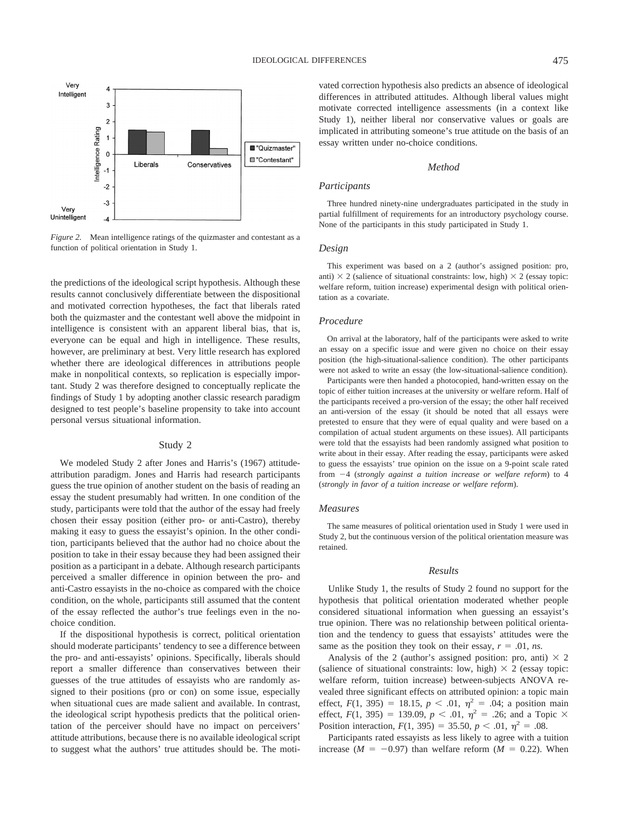

*Figure 2.* Mean intelligence ratings of the quizmaster and contestant as a function of political orientation in Study 1.

the predictions of the ideological script hypothesis. Although these results cannot conclusively differentiate between the dispositional and motivated correction hypotheses, the fact that liberals rated both the quizmaster and the contestant well above the midpoint in intelligence is consistent with an apparent liberal bias, that is, everyone can be equal and high in intelligence. These results, however, are preliminary at best. Very little research has explored whether there are ideological differences in attributions people make in nonpolitical contexts, so replication is especially important. Study 2 was therefore designed to conceptually replicate the findings of Study 1 by adopting another classic research paradigm designed to test people's baseline propensity to take into account personal versus situational information.

# Study 2

We modeled Study 2 after Jones and Harris's (1967) attitudeattribution paradigm. Jones and Harris had research participants guess the true opinion of another student on the basis of reading an essay the student presumably had written. In one condition of the study, participants were told that the author of the essay had freely chosen their essay position (either pro- or anti-Castro), thereby making it easy to guess the essayist's opinion. In the other condition, participants believed that the author had no choice about the position to take in their essay because they had been assigned their position as a participant in a debate. Although research participants perceived a smaller difference in opinion between the pro- and anti-Castro essayists in the no-choice as compared with the choice condition, on the whole, participants still assumed that the content of the essay reflected the author's true feelings even in the nochoice condition.

If the dispositional hypothesis is correct, political orientation should moderate participants' tendency to see a difference between the pro- and anti-essayists' opinions. Specifically, liberals should report a smaller difference than conservatives between their guesses of the true attitudes of essayists who are randomly assigned to their positions (pro or con) on some issue, especially when situational cues are made salient and available. In contrast, the ideological script hypothesis predicts that the political orientation of the perceiver should have no impact on perceivers' attitude attributions, because there is no available ideological script to suggest what the authors' true attitudes should be. The motivated correction hypothesis also predicts an absence of ideological differences in attributed attitudes. Although liberal values might motivate corrected intelligence assessments (in a context like Study 1), neither liberal nor conservative values or goals are implicated in attributing someone's true attitude on the basis of an essay written under no-choice conditions.

### *Method*

#### *Participants*

Three hundred ninety-nine undergraduates participated in the study in partial fulfillment of requirements for an introductory psychology course. None of the participants in this study participated in Study 1.

### *Design*

This experiment was based on a 2 (author's assigned position: pro, anti)  $\times$  2 (salience of situational constraints: low, high)  $\times$  2 (essay topic: welfare reform, tuition increase) experimental design with political orientation as a covariate.

### *Procedure*

On arrival at the laboratory, half of the participants were asked to write an essay on a specific issue and were given no choice on their essay position (the high-situational-salience condition). The other participants were not asked to write an essay (the low-situational-salience condition).

Participants were then handed a photocopied, hand-written essay on the topic of either tuition increases at the university or welfare reform. Half of the participants received a pro-version of the essay; the other half received an anti-version of the essay (it should be noted that all essays were pretested to ensure that they were of equal quality and were based on a compilation of actual student arguments on these issues). All participants were told that the essayists had been randomly assigned what position to write about in their essay. After reading the essay, participants were asked to guess the essayists' true opinion on the issue on a 9-point scale rated from 4 (*strongly against a tuition increase or welfare reform*) to 4 (*strongly in favor of a tuition increase or welfare reform*).

### *Measures*

The same measures of political orientation used in Study 1 were used in Study 2, but the continuous version of the political orientation measure was retained.

### *Results*

Unlike Study 1, the results of Study 2 found no support for the hypothesis that political orientation moderated whether people considered situational information when guessing an essayist's true opinion. There was no relationship between political orientation and the tendency to guess that essayists' attitudes were the same as the position they took on their essay,  $r = .01$ , *ns*.

Analysis of the 2 (author's assigned position: pro, anti)  $\times$  2 (salience of situational constraints: low, high)  $\times$  2 (essay topic: welfare reform, tuition increase) between-subjects ANOVA revealed three significant effects on attributed opinion: a topic main effect,  $F(1, 395) = 18.15$ ,  $p < .01$ ,  $\eta^2 = .04$ ; a position main effect,  $F(1, 395) = 139.09$ ,  $p < .01$ ,  $\eta^2 = .26$ ; and a Topic  $\times$ Position interaction,  $F(1, 395) = 35.50, p < .01, \eta^2 = .08$ .

Participants rated essayists as less likely to agree with a tuition increase ( $M = -0.97$ ) than welfare reform ( $M = 0.22$ ). When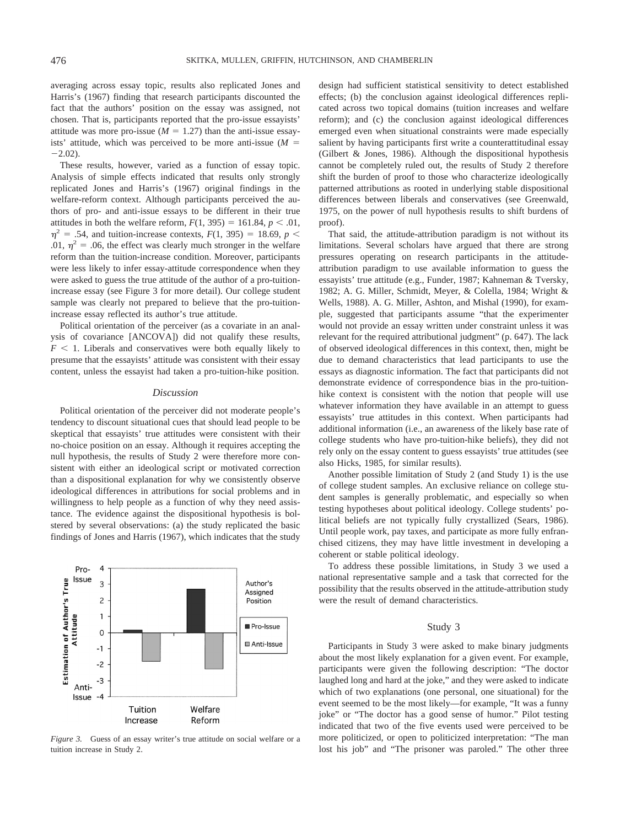averaging across essay topic, results also replicated Jones and Harris's (1967) finding that research participants discounted the fact that the authors' position on the essay was assigned, not chosen. That is, participants reported that the pro-issue essayists' attitude was more pro-issue  $(M = 1.27)$  than the anti-issue essayists' attitude, which was perceived to be more anti-issue (*M*  $-2.02$ ).

These results, however, varied as a function of essay topic. Analysis of simple effects indicated that results only strongly replicated Jones and Harris's (1967) original findings in the welfare-reform context. Although participants perceived the authors of pro- and anti-issue essays to be different in their true attitudes in both the welfare reform,  $F(1, 395) = 161.84$ ,  $p < .01$ ,  $\eta^2$  = .54, and tuition-increase contexts,  $F(1, 395) = 18.69$ ,  $p <$ .01,  $\eta^2$  = .06, the effect was clearly much stronger in the welfare reform than the tuition-increase condition. Moreover, participants were less likely to infer essay-attitude correspondence when they were asked to guess the true attitude of the author of a pro-tuitionincrease essay (see Figure 3 for more detail). Our college student sample was clearly not prepared to believe that the pro-tuitionincrease essay reflected its author's true attitude.

Political orientation of the perceiver (as a covariate in an analysis of covariance [ANCOVA]) did not qualify these results,  $F \leq 1$ . Liberals and conservatives were both equally likely to presume that the essayists' attitude was consistent with their essay content, unless the essayist had taken a pro-tuition-hike position.

### *Discussion*

Political orientation of the perceiver did not moderate people's tendency to discount situational cues that should lead people to be skeptical that essayists' true attitudes were consistent with their no-choice position on an essay. Although it requires accepting the null hypothesis, the results of Study 2 were therefore more consistent with either an ideological script or motivated correction than a dispositional explanation for why we consistently observe ideological differences in attributions for social problems and in willingness to help people as a function of why they need assistance. The evidence against the dispositional hypothesis is bolstered by several observations: (a) the study replicated the basic findings of Jones and Harris (1967), which indicates that the study



*Figure 3.* Guess of an essay writer's true attitude on social welfare or a tuition increase in Study 2.

design had sufficient statistical sensitivity to detect established effects; (b) the conclusion against ideological differences replicated across two topical domains (tuition increases and welfare reform); and (c) the conclusion against ideological differences emerged even when situational constraints were made especially salient by having participants first write a counterattitudinal essay (Gilbert & Jones, 1986). Although the dispositional hypothesis cannot be completely ruled out, the results of Study 2 therefore shift the burden of proof to those who characterize ideologically patterned attributions as rooted in underlying stable dispositional differences between liberals and conservatives (see Greenwald, 1975, on the power of null hypothesis results to shift burdens of proof).

That said, the attitude-attribution paradigm is not without its limitations. Several scholars have argued that there are strong pressures operating on research participants in the attitudeattribution paradigm to use available information to guess the essayists' true attitude (e.g., Funder, 1987; Kahneman & Tversky, 1982; A. G. Miller, Schmidt, Meyer, & Colella, 1984; Wright & Wells, 1988). A. G. Miller, Ashton, and Mishal (1990), for example, suggested that participants assume "that the experimenter would not provide an essay written under constraint unless it was relevant for the required attributional judgment" (p. 647). The lack of observed ideological differences in this context, then, might be due to demand characteristics that lead participants to use the essays as diagnostic information. The fact that participants did not demonstrate evidence of correspondence bias in the pro-tuitionhike context is consistent with the notion that people will use whatever information they have available in an attempt to guess essayists' true attitudes in this context. When participants had additional information (i.e., an awareness of the likely base rate of college students who have pro-tuition-hike beliefs), they did not rely only on the essay content to guess essayists' true attitudes (see also Hicks, 1985, for similar results).

Another possible limitation of Study 2 (and Study 1) is the use of college student samples. An exclusive reliance on college student samples is generally problematic, and especially so when testing hypotheses about political ideology. College students' political beliefs are not typically fully crystallized (Sears, 1986). Until people work, pay taxes, and participate as more fully enfranchised citizens, they may have little investment in developing a coherent or stable political ideology.

To address these possible limitations, in Study 3 we used a national representative sample and a task that corrected for the possibility that the results observed in the attitude-attribution study were the result of demand characteristics.

# Study 3

Participants in Study 3 were asked to make binary judgments about the most likely explanation for a given event. For example, participants were given the following description: "The doctor laughed long and hard at the joke," and they were asked to indicate which of two explanations (one personal, one situational) for the event seemed to be the most likely—for example, "It was a funny joke" or "The doctor has a good sense of humor." Pilot testing indicated that two of the five events used were perceived to be more politicized, or open to politicized interpretation: "The man lost his job" and "The prisoner was paroled." The other three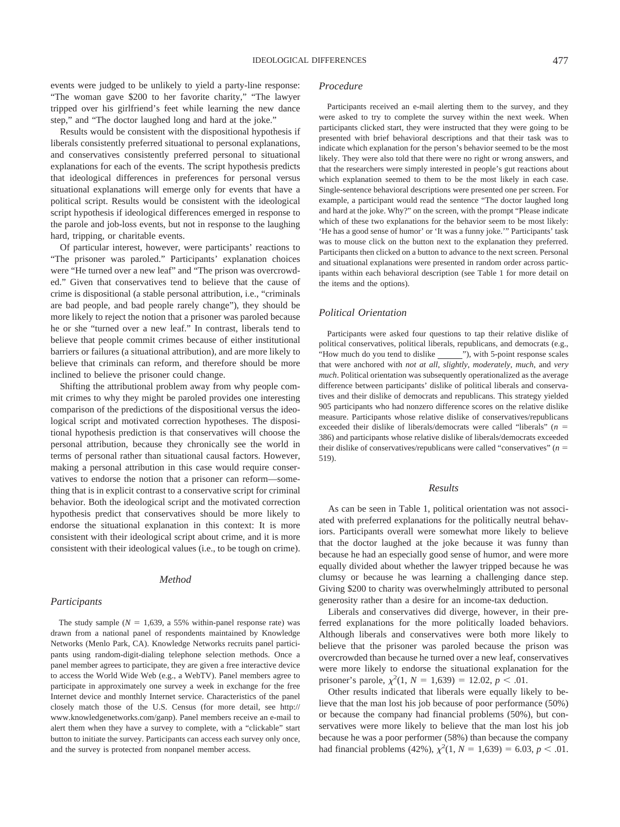events were judged to be unlikely to yield a party-line response: "The woman gave \$200 to her favorite charity," "The lawyer tripped over his girlfriend's feet while learning the new dance step," and "The doctor laughed long and hard at the joke."

Results would be consistent with the dispositional hypothesis if liberals consistently preferred situational to personal explanations, and conservatives consistently preferred personal to situational explanations for each of the events. The script hypothesis predicts that ideological differences in preferences for personal versus situational explanations will emerge only for events that have a political script. Results would be consistent with the ideological script hypothesis if ideological differences emerged in response to the parole and job-loss events, but not in response to the laughing hard, tripping, or charitable events.

Of particular interest, however, were participants' reactions to "The prisoner was paroled." Participants' explanation choices were "He turned over a new leaf" and "The prison was overcrowded." Given that conservatives tend to believe that the cause of crime is dispositional (a stable personal attribution, i.e., "criminals are bad people, and bad people rarely change"), they should be more likely to reject the notion that a prisoner was paroled because he or she "turned over a new leaf." In contrast, liberals tend to believe that people commit crimes because of either institutional barriers or failures (a situational attribution), and are more likely to believe that criminals can reform, and therefore should be more inclined to believe the prisoner could change.

Shifting the attributional problem away from why people commit crimes to why they might be paroled provides one interesting comparison of the predictions of the dispositional versus the ideological script and motivated correction hypotheses. The dispositional hypothesis prediction is that conservatives will choose the personal attribution, because they chronically see the world in terms of personal rather than situational causal factors. However, making a personal attribution in this case would require conservatives to endorse the notion that a prisoner can reform—something that is in explicit contrast to a conservative script for criminal behavior. Both the ideological script and the motivated correction hypothesis predict that conservatives should be more likely to endorse the situational explanation in this context: It is more consistent with their ideological script about crime, and it is more consistent with their ideological values (i.e., to be tough on crime).

# *Method*

# *Participants*

The study sample  $(N = 1,639, a 55\%$  within-panel response rate) was drawn from a national panel of respondents maintained by Knowledge Networks (Menlo Park, CA). Knowledge Networks recruits panel participants using random-digit-dialing telephone selection methods. Once a panel member agrees to participate, they are given a free interactive device to access the World Wide Web (e.g., a WebTV). Panel members agree to participate in approximately one survey a week in exchange for the free Internet device and monthly Internet service. Characteristics of the panel closely match those of the U.S. Census (for more detail, see http:// www.knowledgenetworks.com/ganp). Panel members receive an e-mail to alert them when they have a survey to complete, with a "clickable" start button to initiate the survey. Participants can access each survey only once, and the survey is protected from nonpanel member access.

### *Procedure*

Participants received an e-mail alerting them to the survey, and they were asked to try to complete the survey within the next week. When participants clicked start, they were instructed that they were going to be presented with brief behavioral descriptions and that their task was to indicate which explanation for the person's behavior seemed to be the most likely. They were also told that there were no right or wrong answers, and that the researchers were simply interested in people's gut reactions about which explanation seemed to them to be the most likely in each case. Single-sentence behavioral descriptions were presented one per screen. For example, a participant would read the sentence "The doctor laughed long and hard at the joke. Why?" on the screen, with the prompt "Please indicate which of these two explanations for the behavior seem to be most likely: 'He has a good sense of humor' or 'It was a funny joke.'" Participants' task was to mouse click on the button next to the explanation they preferred. Participants then clicked on a button to advance to the next screen. Personal and situational explanations were presented in random order across participants within each behavioral description (see Table 1 for more detail on the items and the options).

### *Political Orientation*

Participants were asked four questions to tap their relative dislike of political conservatives, political liberals, republicans, and democrats (e.g., "How much do you tend to dislike \_\_\_\_\_\_"), with 5-point response scales that were anchored with *not at all*, *slightly*, *moderately*, *much*, and *very much*. Political orientation was subsequently operationalized as the average difference between participants' dislike of political liberals and conservatives and their dislike of democrats and republicans. This strategy yielded 905 participants who had nonzero difference scores on the relative dislike measure. Participants whose relative dislike of conservatives/republicans exceeded their dislike of liberals/democrats were called "liberals" (*n* 386) and participants whose relative dislike of liberals/democrats exceeded their dislike of conservatives/republicans were called "conservatives" (*n* 519).

# *Results*

As can be seen in Table 1, political orientation was not associated with preferred explanations for the politically neutral behaviors. Participants overall were somewhat more likely to believe that the doctor laughed at the joke because it was funny than because he had an especially good sense of humor, and were more equally divided about whether the lawyer tripped because he was clumsy or because he was learning a challenging dance step. Giving \$200 to charity was overwhelmingly attributed to personal generosity rather than a desire for an income-tax deduction.

Liberals and conservatives did diverge, however, in their preferred explanations for the more politically loaded behaviors. Although liberals and conservatives were both more likely to believe that the prisoner was paroled because the prison was overcrowded than because he turned over a new leaf, conservatives were more likely to endorse the situational explanation for the prisoner's parole,  $\chi^2(1, N = 1,639) = 12.02, p < 0.01$ .

Other results indicated that liberals were equally likely to believe that the man lost his job because of poor performance (50%) or because the company had financial problems (50%), but conservatives were more likely to believe that the man lost his job because he was a poor performer (58%) than because the company had financial problems (42%),  $\chi^2(1, N = 1,639) = 6.03, p < .01$ .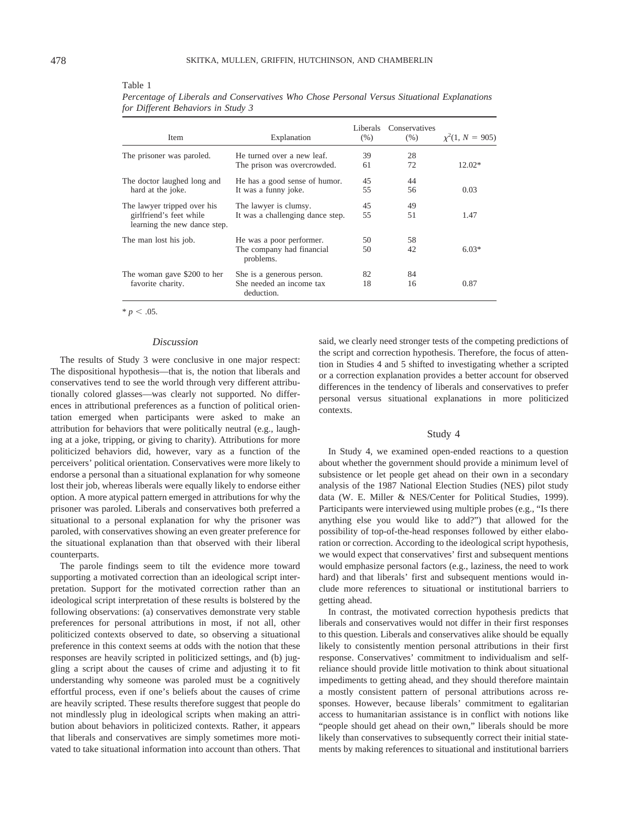#### Table 1

*Percentage of Liberals and Conservatives Who Chose Personal Versus Situational Explanations for Different Behaviors in Study 3*

| Item                                                                                   | Explanation                            | (% ) | Liberals Conservatives<br>(% ) | $\chi^2(1, N = 905)$ |
|----------------------------------------------------------------------------------------|----------------------------------------|------|--------------------------------|----------------------|
| The prisoner was paroled.                                                              | He turned over a new leaf.             | 39   | 28                             |                      |
|                                                                                        | The prison was overcrowded.            | 61   | 72                             | $12.02*$             |
| The doctor laughed long and<br>hard at the joke.                                       | He has a good sense of humor.          | 45   | 44                             |                      |
|                                                                                        | It was a funny joke.                   | 55   | 56                             | 0.03                 |
| The lawyer tripped over his<br>girlfriend's feet while<br>learning the new dance step. | The lawyer is clumsy.                  | 45   | 49                             |                      |
|                                                                                        | It was a challenging dance step.       | 55   | 51                             | 1.47                 |
| The man lost his job.                                                                  | He was a poor performer.               | 50   | 58                             |                      |
|                                                                                        | The company had financial<br>problems. | 50   | 42                             | $6.03*$              |
| The woman gave \$200 to her<br>favorite charity.                                       | She is a generous person.              | 82   | 84                             |                      |
|                                                                                        | She needed an income tax<br>deduction. | 18   | 16                             | 0.87                 |

 $* p < .05$ .

# *Discussion*

The results of Study 3 were conclusive in one major respect: The dispositional hypothesis—that is, the notion that liberals and conservatives tend to see the world through very different attributionally colored glasses—was clearly not supported. No differences in attributional preferences as a function of political orientation emerged when participants were asked to make an attribution for behaviors that were politically neutral (e.g., laughing at a joke, tripping, or giving to charity). Attributions for more politicized behaviors did, however, vary as a function of the perceivers' political orientation. Conservatives were more likely to endorse a personal than a situational explanation for why someone lost their job, whereas liberals were equally likely to endorse either option. A more atypical pattern emerged in attributions for why the prisoner was paroled. Liberals and conservatives both preferred a situational to a personal explanation for why the prisoner was paroled, with conservatives showing an even greater preference for the situational explanation than that observed with their liberal counterparts.

The parole findings seem to tilt the evidence more toward supporting a motivated correction than an ideological script interpretation. Support for the motivated correction rather than an ideological script interpretation of these results is bolstered by the following observations: (a) conservatives demonstrate very stable preferences for personal attributions in most, if not all, other politicized contexts observed to date, so observing a situational preference in this context seems at odds with the notion that these responses are heavily scripted in politicized settings, and (b) juggling a script about the causes of crime and adjusting it to fit understanding why someone was paroled must be a cognitively effortful process, even if one's beliefs about the causes of crime are heavily scripted. These results therefore suggest that people do not mindlessly plug in ideological scripts when making an attribution about behaviors in politicized contexts. Rather, it appears that liberals and conservatives are simply sometimes more motivated to take situational information into account than others. That

said, we clearly need stronger tests of the competing predictions of the script and correction hypothesis. Therefore, the focus of attention in Studies 4 and 5 shifted to investigating whether a scripted or a correction explanation provides a better account for observed differences in the tendency of liberals and conservatives to prefer personal versus situational explanations in more politicized contexts.

# Study 4

In Study 4, we examined open-ended reactions to a question about whether the government should provide a minimum level of subsistence or let people get ahead on their own in a secondary analysis of the 1987 National Election Studies (NES) pilot study data (W. E. Miller & NES/Center for Political Studies, 1999). Participants were interviewed using multiple probes (e.g., "Is there anything else you would like to add?") that allowed for the possibility of top-of-the-head responses followed by either elaboration or correction. According to the ideological script hypothesis, we would expect that conservatives' first and subsequent mentions would emphasize personal factors (e.g., laziness, the need to work hard) and that liberals' first and subsequent mentions would include more references to situational or institutional barriers to getting ahead.

In contrast, the motivated correction hypothesis predicts that liberals and conservatives would not differ in their first responses to this question. Liberals and conservatives alike should be equally likely to consistently mention personal attributions in their first response. Conservatives' commitment to individualism and selfreliance should provide little motivation to think about situational impediments to getting ahead, and they should therefore maintain a mostly consistent pattern of personal attributions across responses. However, because liberals' commitment to egalitarian access to humanitarian assistance is in conflict with notions like "people should get ahead on their own," liberals should be more likely than conservatives to subsequently correct their initial statements by making references to situational and institutional barriers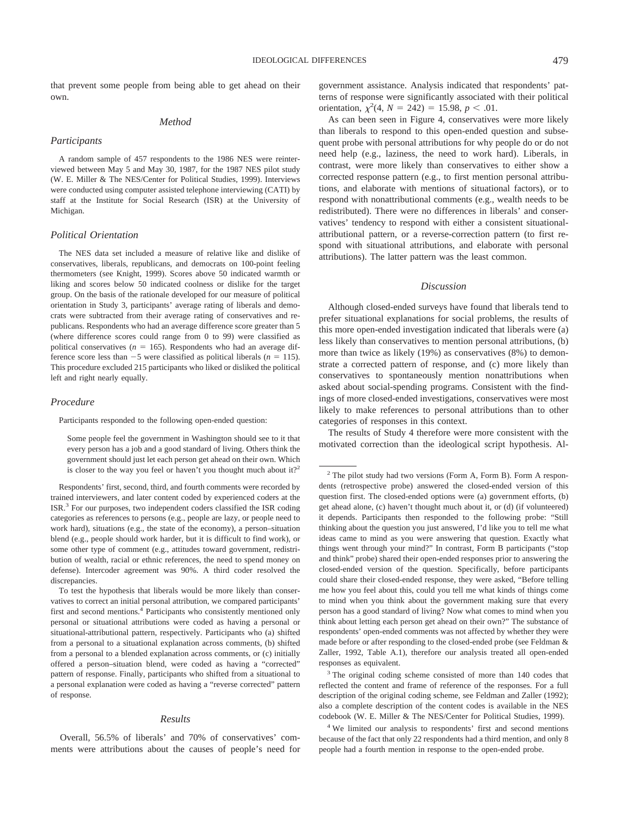that prevent some people from being able to get ahead on their own.

### *Method*

# *Participants*

A random sample of 457 respondents to the 1986 NES were reinterviewed between May 5 and May 30, 1987, for the 1987 NES pilot study (W. E. Miller & The NES/Center for Political Studies, 1999). Interviews were conducted using computer assisted telephone interviewing (CATI) by staff at the Institute for Social Research (ISR) at the University of Michigan.

# *Political Orientation*

The NES data set included a measure of relative like and dislike of conservatives, liberals, republicans, and democrats on 100-point feeling thermometers (see Knight, 1999). Scores above 50 indicated warmth or liking and scores below 50 indicated coolness or dislike for the target group. On the basis of the rationale developed for our measure of political orientation in Study 3, participants' average rating of liberals and democrats were subtracted from their average rating of conservatives and republicans. Respondents who had an average difference score greater than 5 (where difference scores could range from 0 to 99) were classified as political conservatives ( $n = 165$ ). Respondents who had an average difference score less than  $-5$  were classified as political liberals ( $n = 115$ ). This procedure excluded 215 participants who liked or disliked the political left and right nearly equally.

# *Procedure*

Participants responded to the following open-ended question:

Some people feel the government in Washington should see to it that every person has a job and a good standard of living. Others think the government should just let each person get ahead on their own. Which is closer to the way you feel or haven't you thought much about it?<sup>2</sup>

Respondents' first, second, third, and fourth comments were recorded by trained interviewers, and later content coded by experienced coders at the ISR.3 For our purposes, two independent coders classified the ISR coding categories as references to persons (e.g., people are lazy, or people need to work hard), situations (e.g., the state of the economy), a person–situation blend (e.g., people should work harder, but it is difficult to find work), or some other type of comment (e.g., attitudes toward government, redistribution of wealth, racial or ethnic references, the need to spend money on defense). Intercoder agreement was 90%. A third coder resolved the discrepancies.

To test the hypothesis that liberals would be more likely than conservatives to correct an initial personal attribution, we compared participants' first and second mentions.4 Participants who consistently mentioned only personal or situational attributions were coded as having a personal or situational-attributional pattern, respectively. Participants who (a) shifted from a personal to a situational explanation across comments, (b) shifted from a personal to a blended explanation across comments, or (c) initially offered a person–situation blend, were coded as having a "corrected" pattern of response. Finally, participants who shifted from a situational to a personal explanation were coded as having a "reverse corrected" pattern of response.

### *Results*

Overall, 56.5% of liberals' and 70% of conservatives' comments were attributions about the causes of people's need for government assistance. Analysis indicated that respondents' patterns of response were significantly associated with their political orientation,  $\chi^2(4, N = 242) = 15.98, p < .01$ .

As can been seen in Figure 4, conservatives were more likely than liberals to respond to this open-ended question and subsequent probe with personal attributions for why people do or do not need help (e.g., laziness, the need to work hard). Liberals, in contrast, were more likely than conservatives to either show a corrected response pattern (e.g., to first mention personal attributions, and elaborate with mentions of situational factors), or to respond with nonattributional comments (e.g., wealth needs to be redistributed). There were no differences in liberals' and conservatives' tendency to respond with either a consistent situationalattributional pattern, or a reverse-correction pattern (to first respond with situational attributions, and elaborate with personal attributions). The latter pattern was the least common.

### *Discussion*

Although closed-ended surveys have found that liberals tend to prefer situational explanations for social problems, the results of this more open-ended investigation indicated that liberals were (a) less likely than conservatives to mention personal attributions, (b) more than twice as likely (19%) as conservatives (8%) to demonstrate a corrected pattern of response, and (c) more likely than conservatives to spontaneously mention nonattributions when asked about social-spending programs. Consistent with the findings of more closed-ended investigations, conservatives were most likely to make references to personal attributions than to other categories of responses in this context.

The results of Study 4 therefore were more consistent with the motivated correction than the ideological script hypothesis. Al-

<sup>3</sup> The original coding scheme consisted of more than 140 codes that reflected the content and frame of reference of the responses. For a full description of the original coding scheme, see Feldman and Zaller (1992); also a complete description of the content codes is available in the NES codebook (W. E. Miller & The NES/Center for Political Studies, 1999).

<sup>4</sup> We limited our analysis to respondents' first and second mentions because of the fact that only 22 respondents had a third mention, and only 8 people had a fourth mention in response to the open-ended probe.

<sup>2</sup> The pilot study had two versions (Form A, Form B). Form A respondents (retrospective probe) answered the closed-ended version of this question first. The closed-ended options were (a) government efforts, (b) get ahead alone, (c) haven't thought much about it, or (d) (if volunteered) it depends. Participants then responded to the following probe: "Still thinking about the question you just answered, I'd like you to tell me what ideas came to mind as you were answering that question. Exactly what things went through your mind?" In contrast, Form B participants ("stop and think" probe) shared their open-ended responses prior to answering the closed-ended version of the question. Specifically, before participants could share their closed-ended response, they were asked, "Before telling me how you feel about this, could you tell me what kinds of things come to mind when you think about the government making sure that every person has a good standard of living? Now what comes to mind when you think about letting each person get ahead on their own?" The substance of respondents' open-ended comments was not affected by whether they were made before or after responding to the closed-ended probe (see Feldman & Zaller, 1992, Table A.1), therefore our analysis treated all open-ended responses as equivalent.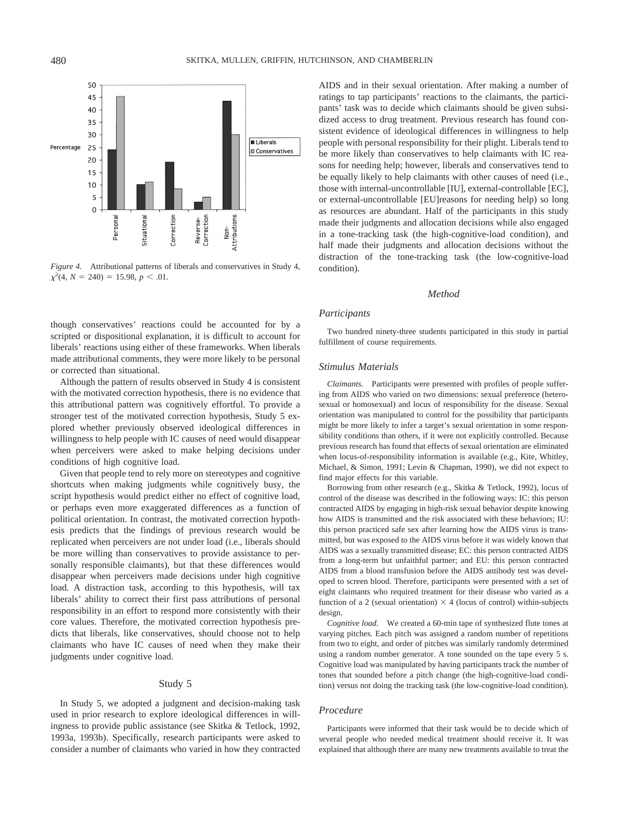

*Figure 4.* Attributional patterns of liberals and conservatives in Study 4,  $\chi^2(4, N = 240) = 15.98, p < .01.$ 

though conservatives' reactions could be accounted for by a scripted or dispositional explanation, it is difficult to account for liberals' reactions using either of these frameworks. When liberals made attributional comments, they were more likely to be personal or corrected than situational.

Although the pattern of results observed in Study 4 is consistent with the motivated correction hypothesis, there is no evidence that this attributional pattern was cognitively effortful. To provide a stronger test of the motivated correction hypothesis, Study 5 explored whether previously observed ideological differences in willingness to help people with IC causes of need would disappear when perceivers were asked to make helping decisions under conditions of high cognitive load.

Given that people tend to rely more on stereotypes and cognitive shortcuts when making judgments while cognitively busy, the script hypothesis would predict either no effect of cognitive load, or perhaps even more exaggerated differences as a function of political orientation. In contrast, the motivated correction hypothesis predicts that the findings of previous research would be replicated when perceivers are not under load (i.e., liberals should be more willing than conservatives to provide assistance to personally responsible claimants), but that these differences would disappear when perceivers made decisions under high cognitive load. A distraction task, according to this hypothesis, will tax liberals' ability to correct their first pass attributions of personal responsibility in an effort to respond more consistently with their core values. Therefore, the motivated correction hypothesis predicts that liberals, like conservatives, should choose not to help claimants who have IC causes of need when they make their judgments under cognitive load.

### Study 5

In Study 5, we adopted a judgment and decision-making task used in prior research to explore ideological differences in willingness to provide public assistance (see Skitka & Tetlock, 1992, 1993a, 1993b). Specifically, research participants were asked to consider a number of claimants who varied in how they contracted AIDS and in their sexual orientation. After making a number of ratings to tap participants' reactions to the claimants, the participants' task was to decide which claimants should be given subsidized access to drug treatment. Previous research has found consistent evidence of ideological differences in willingness to help people with personal responsibility for their plight. Liberals tend to be more likely than conservatives to help claimants with IC reasons for needing help; however, liberals and conservatives tend to be equally likely to help claimants with other causes of need (i.e., those with internal-uncontrollable [IU], external-controllable [EC], or external-uncontrollable [EU]reasons for needing help) so long as resources are abundant. Half of the participants in this study made their judgments and allocation decisions while also engaged in a tone-tracking task (the high-cognitive-load condition), and half made their judgments and allocation decisions without the distraction of the tone-tracking task (the low-cognitive-load condition).

# *Method*

### *Participants*

Two hundred ninety-three students participated in this study in partial fulfillment of course requirements.

# *Stimulus Materials*

*Claimants.* Participants were presented with profiles of people suffering from AIDS who varied on two dimensions: sexual preference (heterosexual or homosexual) and locus of responsibility for the disease. Sexual orientation was manipulated to control for the possibility that participants might be more likely to infer a target's sexual orientation in some responsibility conditions than others, if it were not explicitly controlled. Because previous research has found that effects of sexual orientation are eliminated when locus-of-responsibility information is available (e.g., Kite, Whitley, Michael, & Simon, 1991; Levin & Chapman, 1990), we did not expect to find major effects for this variable.

Borrowing from other research (e.g., Skitka & Tetlock, 1992), locus of control of the disease was described in the following ways: IC: this person contracted AIDS by engaging in high-risk sexual behavior despite knowing how AIDS is transmitted and the risk associated with these behaviors; IU: this person practiced safe sex after learning how the AIDS virus is transmitted, but was exposed to the AIDS virus before it was widely known that AIDS was a sexually transmitted disease; EC: this person contracted AIDS from a long-term but unfaithful partner; and EU: this person contracted AIDS from a blood transfusion before the AIDS antibody test was developed to screen blood. Therefore, participants were presented with a set of eight claimants who required treatment for their disease who varied as a function of a 2 (sexual orientation)  $\times$  4 (locus of control) within-subjects design.

*Cognitive load.* We created a 60-min tape of synthesized flute tones at varying pitches. Each pitch was assigned a random number of repetitions from two to eight, and order of pitches was similarly randomly determined using a random number generator. A tone sounded on the tape every 5 s. Cognitive load was manipulated by having participants track the number of tones that sounded before a pitch change (the high-cognitive-load condition) versus not doing the tracking task (the low-cognitive-load condition).

### *Procedure*

Participants were informed that their task would be to decide which of several people who needed medical treatment should receive it. It was explained that although there are many new treatments available to treat the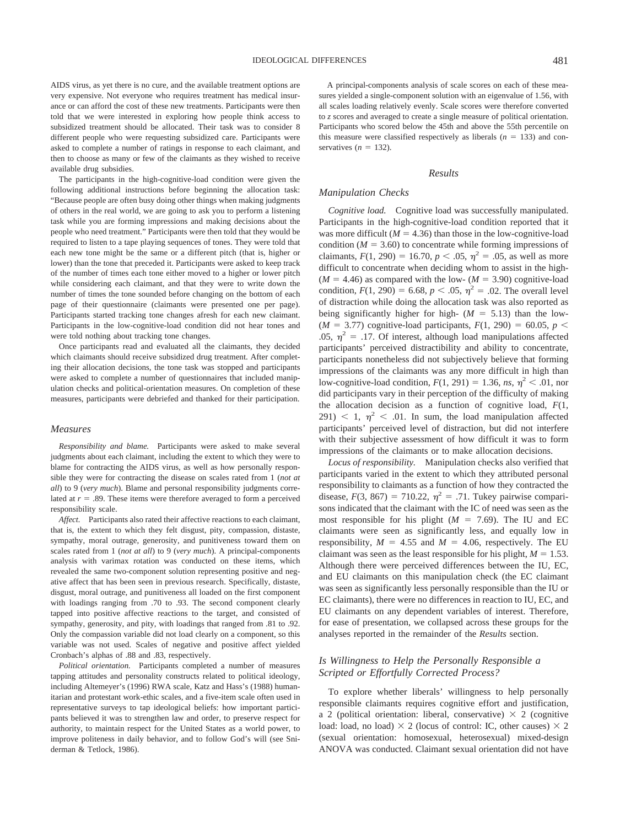AIDS virus, as yet there is no cure, and the available treatment options are very expensive. Not everyone who requires treatment has medical insurance or can afford the cost of these new treatments. Participants were then

told that we were interested in exploring how people think access to subsidized treatment should be allocated. Their task was to consider 8 different people who were requesting subsidized care. Participants were asked to complete a number of ratings in response to each claimant, and then to choose as many or few of the claimants as they wished to receive available drug subsidies.

The participants in the high-cognitive-load condition were given the following additional instructions before beginning the allocation task: "Because people are often busy doing other things when making judgments of others in the real world, we are going to ask you to perform a listening task while you are forming impressions and making decisions about the people who need treatment." Participants were then told that they would be required to listen to a tape playing sequences of tones. They were told that each new tone might be the same or a different pitch (that is, higher or lower) than the tone that preceded it. Participants were asked to keep track of the number of times each tone either moved to a higher or lower pitch while considering each claimant, and that they were to write down the number of times the tone sounded before changing on the bottom of each page of their questionnaire (claimants were presented one per page). Participants started tracking tone changes afresh for each new claimant. Participants in the low-cognitive-load condition did not hear tones and were told nothing about tracking tone changes.

Once participants read and evaluated all the claimants, they decided which claimants should receive subsidized drug treatment. After completing their allocation decisions, the tone task was stopped and participants were asked to complete a number of questionnaires that included manipulation checks and political-orientation measures. On completion of these measures, participants were debriefed and thanked for their participation.

### *Measures*

*Responsibility and blame.* Participants were asked to make several judgments about each claimant, including the extent to which they were to blame for contracting the AIDS virus, as well as how personally responsible they were for contracting the disease on scales rated from 1 (*not at all*) to 9 (*very much*). Blame and personal responsibility judgments correlated at  $r = .89$ . These items were therefore averaged to form a perceived responsibility scale.

*Affect.* Participants also rated their affective reactions to each claimant, that is, the extent to which they felt disgust, pity, compassion, distaste, sympathy, moral outrage, generosity, and punitiveness toward them on scales rated from 1 (*not at all*) to 9 (*very much*). A principal-components analysis with varimax rotation was conducted on these items, which revealed the same two-component solution representing positive and negative affect that has been seen in previous research. Specifically, distaste, disgust, moral outrage, and punitiveness all loaded on the first component with loadings ranging from .70 to .93. The second component clearly tapped into positive affective reactions to the target, and consisted of sympathy, generosity, and pity, with loadings that ranged from .81 to .92. Only the compassion variable did not load clearly on a component, so this variable was not used. Scales of negative and positive affect yielded Cronbach's alphas of .88 and .83, respectively.

*Political orientation.* Participants completed a number of measures tapping attitudes and personality constructs related to political ideology, including Altemeyer's (1996) RWA scale, Katz and Hass's (1988) humanitarian and protestant work-ethic scales, and a five-item scale often used in representative surveys to tap ideological beliefs: how important participants believed it was to strengthen law and order, to preserve respect for authority, to maintain respect for the United States as a world power, to improve politeness in daily behavior, and to follow God's will (see Sniderman & Tetlock, 1986).

A principal-components analysis of scale scores on each of these measures yielded a single-component solution with an eigenvalue of 1.56, with all scales loading relatively evenly. Scale scores were therefore converted to *z* scores and averaged to create a single measure of political orientation. Participants who scored below the 45th and above the 55th percentile on this measure were classified respectively as liberals  $(n = 133)$  and conservatives  $(n = 132)$ .

### *Results*

### *Manipulation Checks*

*Cognitive load.* Cognitive load was successfully manipulated. Participants in the high-cognitive-load condition reported that it was more difficult ( $M = 4.36$ ) than those in the low-cognitive-load condition ( $M = 3.60$ ) to concentrate while forming impressions of claimants,  $F(1, 290) = 16.70$ ,  $p < .05$ ,  $\eta^2 = .05$ , as well as more difficult to concentrate when deciding whom to assist in the high-  $(M = 4.46)$  as compared with the low-  $(M = 3.90)$  cognitive-load condition,  $F(1, 290) = 6.68$ ,  $p < .05$ ,  $\eta^2 = .02$ . The overall level of distraction while doing the allocation task was also reported as being significantly higher for high-  $(M = 5.13)$  than the low- $(M = 3.77)$  cognitive-load participants,  $F(1, 290) = 60.05$ ,  $p <$ .05,  $\eta^2$  = .17. Of interest, although load manipulations affected participants' perceived distractibility and ability to concentrate, participants nonetheless did not subjectively believe that forming impressions of the claimants was any more difficult in high than low-cognitive-load condition,  $F(1, 291) = 1.36$ ,  $ns$ ,  $\eta^2 < .01$ , nor did participants vary in their perception of the difficulty of making the allocation decision as a function of cognitive load, *F*(1, 291)  $1, \eta^2$  1. In sum, the load manipulation affected participants' perceived level of distraction, but did not interfere with their subjective assessment of how difficult it was to form impressions of the claimants or to make allocation decisions.

*Locus of responsibility.* Manipulation checks also verified that participants varied in the extent to which they attributed personal responsibility to claimants as a function of how they contracted the disease,  $F(3, 867) = 710.22$ ,  $\eta^2 = .71$ . Tukey pairwise comparisons indicated that the claimant with the IC of need was seen as the most responsible for his plight  $(M = 7.69)$ . The IU and EC claimants were seen as significantly less, and equally low in responsibility,  $M = 4.55$  and  $M = 4.06$ , respectively. The EU claimant was seen as the least responsible for his plight,  $M = 1.53$ . Although there were perceived differences between the IU, EC, and EU claimants on this manipulation check (the EC claimant was seen as significantly less personally responsible than the IU or EC claimants), there were no differences in reaction to IU, EC, and EU claimants on any dependent variables of interest. Therefore, for ease of presentation, we collapsed across these groups for the analyses reported in the remainder of the *Results* section.

# *Is Willingness to Help the Personally Responsible a Scripted or Effortfully Corrected Process?*

To explore whether liberals' willingness to help personally responsible claimants requires cognitive effort and justification, a 2 (political orientation: liberal, conservative)  $\times$  2 (cognitive load: load, no load)  $\times$  2 (locus of control: IC, other causes)  $\times$  2 (sexual orientation: homosexual, heterosexual) mixed-design ANOVA was conducted. Claimant sexual orientation did not have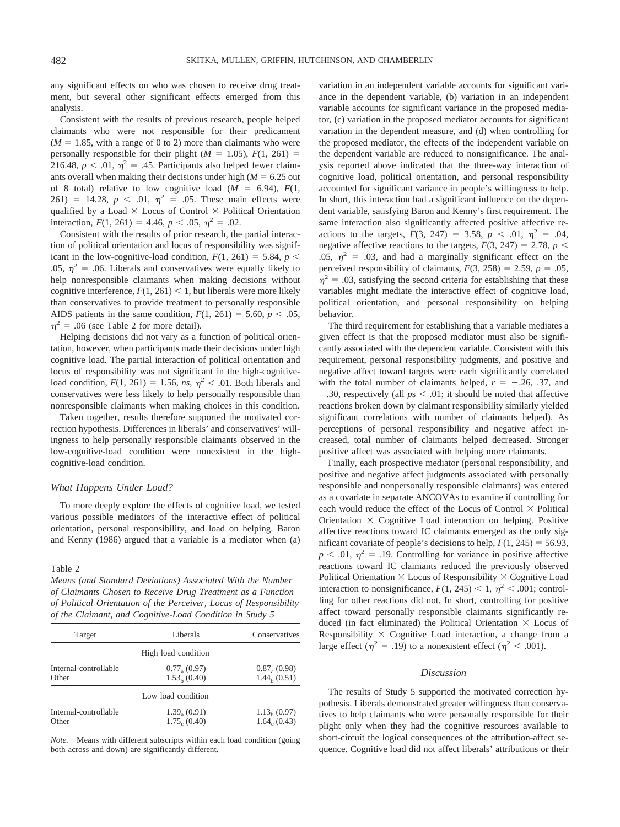any significant effects on who was chosen to receive drug treatment, but several other significant effects emerged from this analysis.

Consistent with the results of previous research, people helped claimants who were not responsible for their predicament  $(M = 1.85$ , with a range of 0 to 2) more than claimants who were personally responsible for their plight ( $M = 1.05$ ),  $F(1, 261) =$ 216.48,  $p < .01$ ,  $\eta^2 = .45$ . Participants also helped fewer claimants overall when making their decisions under high  $(M = 6.25$  out of 8 total) relative to low cognitive load  $(M = 6.94)$ ,  $F(1,$ 261) = 14.28,  $p < .01$ ,  $\eta^2 = .05$ . These main effects were qualified by a Load  $\times$  Locus of Control  $\times$  Political Orientation interaction,  $F(1, 261) = 4.46$ ,  $p < .05$ ,  $\eta^2 = .02$ .

Consistent with the results of prior research, the partial interaction of political orientation and locus of responsibility was significant in the low-cognitive-load condition,  $F(1, 261) = 5.84$ ,  $p \le$ .05,  $\eta^2$  = .06. Liberals and conservatives were equally likely to help nonresponsible claimants when making decisions without cognitive interference,  $F(1, 261) \le 1$ , but liberals were more likely than conservatives to provide treatment to personally responsible AIDS patients in the same condition,  $F(1, 261) = 5.60$ ,  $p < .05$ ,  $\eta^2$  = .06 (see Table 2 for more detail).

Helping decisions did not vary as a function of political orientation, however, when participants made their decisions under high cognitive load. The partial interaction of political orientation and locus of responsibility was not significant in the high-cognitiveload condition,  $F(1, 261) = 1.56$ , *ns*,  $\eta^2 < .01$ . Both liberals and conservatives were less likely to help personally responsible than nonresponsible claimants when making choices in this condition.

Taken together, results therefore supported the motivated correction hypothesis. Differences in liberals' and conservatives' willingness to help personally responsible claimants observed in the low-cognitive-load condition were nonexistent in the highcognitive-load condition.

### *What Happens Under Load?*

To more deeply explore the effects of cognitive load, we tested various possible mediators of the interactive effect of political orientation, personal responsibility, and load on helping. Baron and Kenny (1986) argued that a variable is a mediator when (a)

### Table 2

*Means (and Standard Deviations) Associated With the Number of Claimants Chosen to Receive Drug Treatment as a Function of Political Orientation of the Perceiver, Locus of Responsibility of the Claimant, and Cognitive-Load Condition in Study 5*

| Target                         | Liberals                       | Conservatives                              |
|--------------------------------|--------------------------------|--------------------------------------------|
|                                | High load condition            |                                            |
| Internal-controllable<br>Other | 0.77, (0.97)<br>$1.53b$ (0.40) | 0.87, (0.98)<br>$1.44b$ (0.51)             |
|                                | Low load condition             |                                            |
| Internal-controllable<br>Other | 1.39, (0.91)<br>$1.75_c(0.40)$ | $1.13b$ (0.97)<br>1.64 <sub>c</sub> (0.43) |

*Note.* Means with different subscripts within each load condition (going both across and down) are significantly different.

variation in an independent variable accounts for significant variance in the dependent variable, (b) variation in an independent variable accounts for significant variance in the proposed mediator, (c) variation in the proposed mediator accounts for significant variation in the dependent measure, and (d) when controlling for the proposed mediator, the effects of the independent variable on the dependent variable are reduced to nonsignificance. The analysis reported above indicated that the three-way interaction of cognitive load, political orientation, and personal responsibility accounted for significant variance in people's willingness to help. In short, this interaction had a significant influence on the dependent variable, satisfying Baron and Kenny's first requirement. The same interaction also significantly affected positive affective reactions to the targets,  $F(3, 247) = 3.58$ ,  $p < .01$ ,  $\eta^2 = .04$ , negative affective reactions to the targets,  $F(3, 247) = 2.78$ ,  $p \le$ .05,  $\eta^2$  = .03, and had a marginally significant effect on the perceived responsibility of claimants,  $F(3, 258) = 2.59$ ,  $p = .05$ ,  $\eta^2$  = .03, satisfying the second criteria for establishing that these variables might mediate the interactive effect of cognitive load, political orientation, and personal responsibility on helping behavior.

The third requirement for establishing that a variable mediates a given effect is that the proposed mediator must also be significantly associated with the dependent variable. Consistent with this requirement, personal responsibility judgments, and positive and negative affect toward targets were each significantly correlated with the total number of claimants helped,  $r = -.26, .37,$  and  $-.30$ , respectively (all  $ps < .01$ ; it should be noted that affective reactions broken down by claimant responsibility similarly yielded significant correlations with number of claimants helped). As perceptions of personal responsibility and negative affect increased, total number of claimants helped decreased. Stronger positive affect was associated with helping more claimants.

Finally, each prospective mediator (personal responsibility, and positive and negative affect judgments associated with personally responsible and nonpersonally responsible claimants) was entered as a covariate in separate ANCOVAs to examine if controlling for each would reduce the effect of the Locus of Control  $\times$  Political Orientation  $\times$  Cognitive Load interaction on helping. Positive affective reactions toward IC claimants emerged as the only significant covariate of people's decisions to help,  $F(1, 245) = 56.93$ ,  $p < .01$ ,  $\eta^2 = .19$ . Controlling for variance in positive affective reactions toward IC claimants reduced the previously observed Political Orientation  $\times$  Locus of Responsibility  $\times$  Cognitive Load interaction to nonsignificance,  $F(1, 245) < 1$ ,  $\eta^2 < .001$ ; controlling for other reactions did not. In short, controlling for positive affect toward personally responsible claimants significantly reduced (in fact eliminated) the Political Orientation  $\times$  Locus of Responsibility  $\times$  Cognitive Load interaction, a change from a large effect ( $\eta^2$  = .19) to a nonexistent effect ( $\eta^2$  < .001).

### *Discussion*

The results of Study 5 supported the motivated correction hypothesis. Liberals demonstrated greater willingness than conservatives to help claimants who were personally responsible for their plight only when they had the cognitive resources available to short-circuit the logical consequences of the attribution-affect sequence. Cognitive load did not affect liberals' attributions or their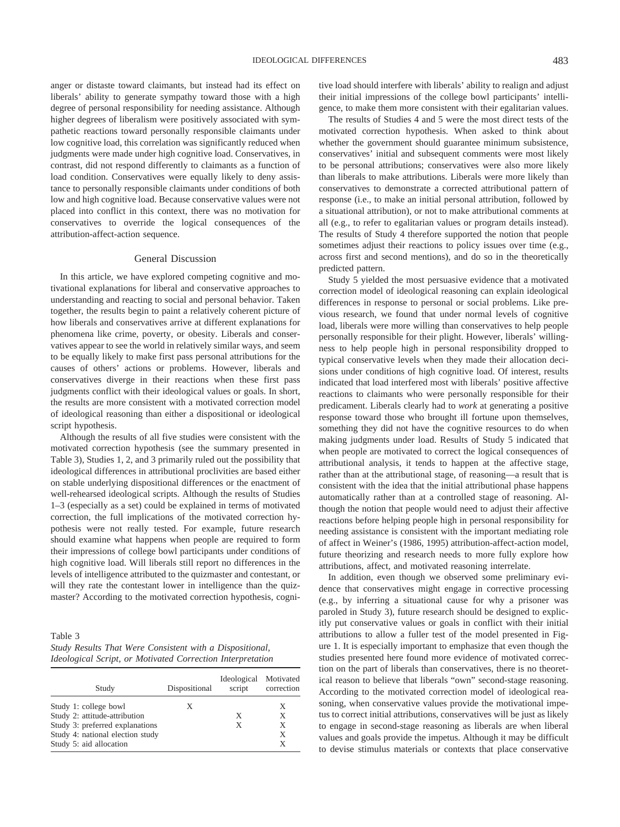anger or distaste toward claimants, but instead had its effect on liberals' ability to generate sympathy toward those with a high degree of personal responsibility for needing assistance. Although higher degrees of liberalism were positively associated with sympathetic reactions toward personally responsible claimants under low cognitive load, this correlation was significantly reduced when judgments were made under high cognitive load. Conservatives, in contrast, did not respond differently to claimants as a function of load condition. Conservatives were equally likely to deny assistance to personally responsible claimants under conditions of both low and high cognitive load. Because conservative values were not placed into conflict in this context, there was no motivation for conservatives to override the logical consequences of the attribution-affect-action sequence.

# General Discussion

In this article, we have explored competing cognitive and motivational explanations for liberal and conservative approaches to understanding and reacting to social and personal behavior. Taken together, the results begin to paint a relatively coherent picture of how liberals and conservatives arrive at different explanations for phenomena like crime, poverty, or obesity. Liberals and conservatives appear to see the world in relatively similar ways, and seem to be equally likely to make first pass personal attributions for the causes of others' actions or problems. However, liberals and conservatives diverge in their reactions when these first pass judgments conflict with their ideological values or goals. In short, the results are more consistent with a motivated correction model of ideological reasoning than either a dispositional or ideological script hypothesis.

Although the results of all five studies were consistent with the motivated correction hypothesis (see the summary presented in Table 3), Studies 1, 2, and 3 primarily ruled out the possibility that ideological differences in attributional proclivities are based either on stable underlying dispositional differences or the enactment of well-rehearsed ideological scripts. Although the results of Studies 1–3 (especially as a set) could be explained in terms of motivated correction, the full implications of the motivated correction hypothesis were not really tested. For example, future research should examine what happens when people are required to form their impressions of college bowl participants under conditions of high cognitive load. Will liberals still report no differences in the levels of intelligence attributed to the quizmaster and contestant, or will they rate the contestant lower in intelligence than the quizmaster? According to the motivated correction hypothesis, cogni-

Table 3 *Study Results That Were Consistent with a Dispositional, Ideological Script, or Motivated Correction Interpretation*

| Study                                                                                                                         | Dispositional | Ideological Motivated<br>script | correction       |
|-------------------------------------------------------------------------------------------------------------------------------|---------------|---------------------------------|------------------|
| Study 1: college bowl<br>Study 2: attitude-attribution<br>Study 3: preferred explanations<br>Study 4: national election study | X             | X<br>X                          | X<br>X<br>X<br>X |
| Study 5: aid allocation                                                                                                       |               |                                 |                  |

tive load should interfere with liberals' ability to realign and adjust their initial impressions of the college bowl participants' intelligence, to make them more consistent with their egalitarian values.

The results of Studies 4 and 5 were the most direct tests of the motivated correction hypothesis. When asked to think about whether the government should guarantee minimum subsistence, conservatives' initial and subsequent comments were most likely to be personal attributions; conservatives were also more likely than liberals to make attributions. Liberals were more likely than conservatives to demonstrate a corrected attributional pattern of response (i.e., to make an initial personal attribution, followed by a situational attribution), or not to make attributional comments at all (e.g., to refer to egalitarian values or program details instead). The results of Study 4 therefore supported the notion that people sometimes adjust their reactions to policy issues over time (e.g., across first and second mentions), and do so in the theoretically predicted pattern.

Study 5 yielded the most persuasive evidence that a motivated correction model of ideological reasoning can explain ideological differences in response to personal or social problems. Like previous research, we found that under normal levels of cognitive load, liberals were more willing than conservatives to help people personally responsible for their plight. However, liberals' willingness to help people high in personal responsibility dropped to typical conservative levels when they made their allocation decisions under conditions of high cognitive load. Of interest, results indicated that load interfered most with liberals' positive affective reactions to claimants who were personally responsible for their predicament. Liberals clearly had to *work* at generating a positive response toward those who brought ill fortune upon themselves, something they did not have the cognitive resources to do when making judgments under load. Results of Study 5 indicated that when people are motivated to correct the logical consequences of attributional analysis, it tends to happen at the affective stage, rather than at the attributional stage, of reasoning—a result that is consistent with the idea that the initial attributional phase happens automatically rather than at a controlled stage of reasoning. Although the notion that people would need to adjust their affective reactions before helping people high in personal responsibility for needing assistance is consistent with the important mediating role of affect in Weiner's (1986, 1995) attribution-affect-action model, future theorizing and research needs to more fully explore how attributions, affect, and motivated reasoning interrelate.

In addition, even though we observed some preliminary evidence that conservatives might engage in corrective processing (e.g., by inferring a situational cause for why a prisoner was paroled in Study 3), future research should be designed to explicitly put conservative values or goals in conflict with their initial attributions to allow a fuller test of the model presented in Figure 1. It is especially important to emphasize that even though the studies presented here found more evidence of motivated correction on the part of liberals than conservatives, there is no theoretical reason to believe that liberals "own" second-stage reasoning. According to the motivated correction model of ideological reasoning, when conservative values provide the motivational impetus to correct initial attributions, conservatives will be just as likely to engage in second-stage reasoning as liberals are when liberal values and goals provide the impetus. Although it may be difficult to devise stimulus materials or contexts that place conservative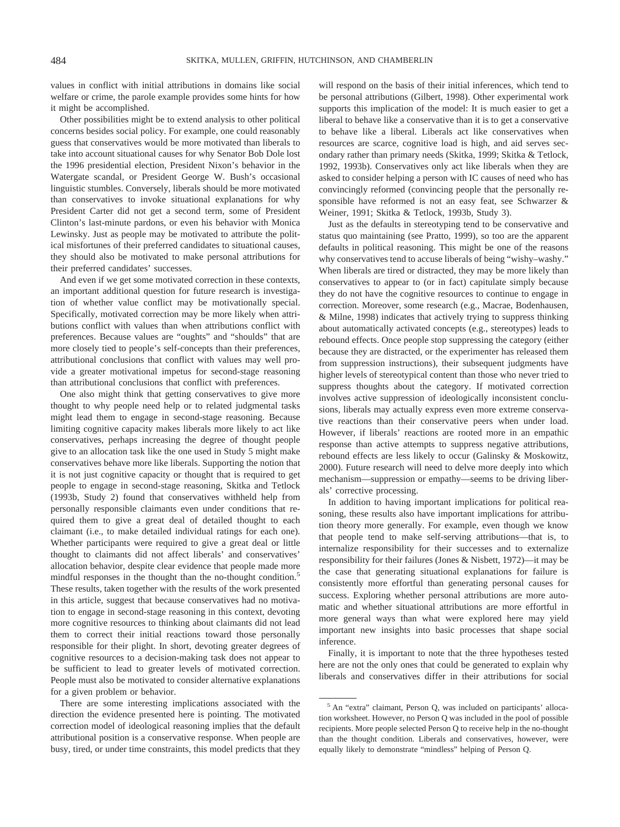values in conflict with initial attributions in domains like social welfare or crime, the parole example provides some hints for how it might be accomplished.

Other possibilities might be to extend analysis to other political concerns besides social policy. For example, one could reasonably guess that conservatives would be more motivated than liberals to take into account situational causes for why Senator Bob Dole lost the 1996 presidential election, President Nixon's behavior in the Watergate scandal, or President George W. Bush's occasional linguistic stumbles. Conversely, liberals should be more motivated than conservatives to invoke situational explanations for why President Carter did not get a second term, some of President Clinton's last-minute pardons, or even his behavior with Monica Lewinsky. Just as people may be motivated to attribute the political misfortunes of their preferred candidates to situational causes, they should also be motivated to make personal attributions for their preferred candidates' successes.

And even if we get some motivated correction in these contexts, an important additional question for future research is investigation of whether value conflict may be motivationally special. Specifically, motivated correction may be more likely when attributions conflict with values than when attributions conflict with preferences. Because values are "oughts" and "shoulds" that are more closely tied to people's self-concepts than their preferences, attributional conclusions that conflict with values may well provide a greater motivational impetus for second-stage reasoning than attributional conclusions that conflict with preferences.

One also might think that getting conservatives to give more thought to why people need help or to related judgmental tasks might lead them to engage in second-stage reasoning. Because limiting cognitive capacity makes liberals more likely to act like conservatives, perhaps increasing the degree of thought people give to an allocation task like the one used in Study 5 might make conservatives behave more like liberals. Supporting the notion that it is not just cognitive capacity or thought that is required to get people to engage in second-stage reasoning, Skitka and Tetlock (1993b, Study 2) found that conservatives withheld help from personally responsible claimants even under conditions that required them to give a great deal of detailed thought to each claimant (i.e., to make detailed individual ratings for each one). Whether participants were required to give a great deal or little thought to claimants did not affect liberals' and conservatives' allocation behavior, despite clear evidence that people made more mindful responses in the thought than the no-thought condition.5 These results, taken together with the results of the work presented in this article, suggest that because conservatives had no motivation to engage in second-stage reasoning in this context, devoting more cognitive resources to thinking about claimants did not lead them to correct their initial reactions toward those personally responsible for their plight. In short, devoting greater degrees of cognitive resources to a decision-making task does not appear to be sufficient to lead to greater levels of motivated correction. People must also be motivated to consider alternative explanations for a given problem or behavior.

There are some interesting implications associated with the direction the evidence presented here is pointing. The motivated correction model of ideological reasoning implies that the default attributional position is a conservative response. When people are busy, tired, or under time constraints, this model predicts that they

will respond on the basis of their initial inferences, which tend to be personal attributions (Gilbert, 1998). Other experimental work supports this implication of the model: It is much easier to get a liberal to behave like a conservative than it is to get a conservative to behave like a liberal. Liberals act like conservatives when resources are scarce, cognitive load is high, and aid serves secondary rather than primary needs (Skitka, 1999; Skitka & Tetlock, 1992, 1993b). Conservatives only act like liberals when they are asked to consider helping a person with IC causes of need who has convincingly reformed (convincing people that the personally responsible have reformed is not an easy feat, see Schwarzer & Weiner, 1991; Skitka & Tetlock, 1993b, Study 3).

Just as the defaults in stereotyping tend to be conservative and status quo maintaining (see Pratto, 1999), so too are the apparent defaults in political reasoning. This might be one of the reasons why conservatives tend to accuse liberals of being "wishy–washy." When liberals are tired or distracted, they may be more likely than conservatives to appear to (or in fact) capitulate simply because they do not have the cognitive resources to continue to engage in correction. Moreover, some research (e.g., Macrae, Bodenhausen, & Milne, 1998) indicates that actively trying to suppress thinking about automatically activated concepts (e.g., stereotypes) leads to rebound effects. Once people stop suppressing the category (either because they are distracted, or the experimenter has released them from suppression instructions), their subsequent judgments have higher levels of stereotypical content than those who never tried to suppress thoughts about the category. If motivated correction involves active suppression of ideologically inconsistent conclusions, liberals may actually express even more extreme conservative reactions than their conservative peers when under load. However, if liberals' reactions are rooted more in an empathic response than active attempts to suppress negative attributions, rebound effects are less likely to occur (Galinsky & Moskowitz, 2000). Future research will need to delve more deeply into which mechanism—suppression or empathy—seems to be driving liberals' corrective processing.

In addition to having important implications for political reasoning, these results also have important implications for attribution theory more generally. For example, even though we know that people tend to make self-serving attributions—that is, to internalize responsibility for their successes and to externalize responsibility for their failures (Jones & Nisbett, 1972)—it may be the case that generating situational explanations for failure is consistently more effortful than generating personal causes for success. Exploring whether personal attributions are more automatic and whether situational attributions are more effortful in more general ways than what were explored here may yield important new insights into basic processes that shape social inference.

Finally, it is important to note that the three hypotheses tested here are not the only ones that could be generated to explain why liberals and conservatives differ in their attributions for social

<sup>5</sup> An "extra" claimant, Person Q, was included on participants' allocation worksheet. However, no Person Q was included in the pool of possible recipients. More people selected Person Q to receive help in the no-thought than the thought condition. Liberals and conservatives, however, were equally likely to demonstrate "mindless" helping of Person Q.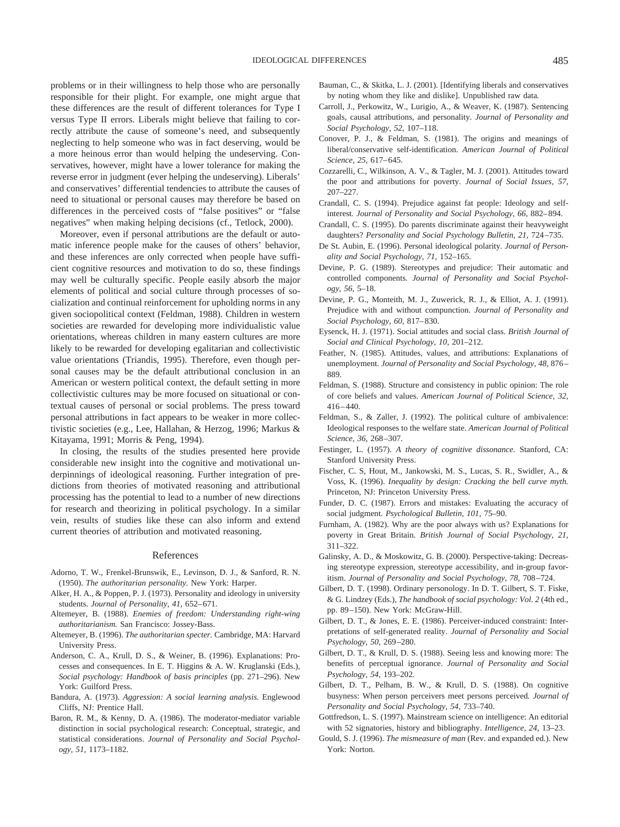problems or in their willingness to help those who are personally responsible for their plight. For example, one might argue that these differences are the result of different tolerances for Type I versus Type II errors. Liberals might believe that failing to correctly attribute the cause of someone's need, and subsequently neglecting to help someone who was in fact deserving, would be a more heinous error than would helping the undeserving. Conservatives, however, might have a lower tolerance for making the reverse error in judgment (ever helping the undeserving). Liberals' and conservatives' differential tendencies to attribute the causes of need to situational or personal causes may therefore be based on differences in the perceived costs of "false positives" or "false negatives" when making helping decisions (cf., Tetlock, 2000).

Moreover, even if personal attributions are the default or automatic inference people make for the causes of others' behavior, and these inferences are only corrected when people have sufficient cognitive resources and motivation to do so, these findings may well be culturally specific. People easily absorb the major elements of political and social culture through processes of socialization and continual reinforcement for upholding norms in any given sociopolitical context (Feldman, 1988). Children in western societies are rewarded for developing more individualistic value orientations, whereas children in many eastern cultures are more likely to be rewarded for developing egalitarian and collectivistic value orientations (Triandis, 1995). Therefore, even though personal causes may be the default attributional conclusion in an American or western political context, the default setting in more collectivistic cultures may be more focused on situational or contextual causes of personal or social problems. The press toward personal attributions in fact appears to be weaker in more collectivistic societies (e.g., Lee, Hallahan, & Herzog, 1996; Markus & Kitayama, 1991; Morris & Peng, 1994).

In closing, the results of the studies presented here provide considerable new insight into the cognitive and motivational underpinnings of ideological reasoning. Further integration of predictions from theories of motivated reasoning and attributional processing has the potential to lead to a number of new directions for research and theorizing in political psychology. In a similar vein, results of studies like these can also inform and extend current theories of attribution and motivated reasoning.

### References

- Adorno, T. W., Frenkel-Brunswik, E., Levinson, D. J., & Sanford, R. N. (1950). *The authoritarian personality.* New York: Harper.
- Alker, H. A., & Poppen, P. J. (1973). Personality and ideology in university students. *Journal of Personality, 41,* 652–671.
- Altemeyer, B. (1988). *Enemies of freedom: Understanding right-wing authoritarianism.* San Francisco: Jossey-Bass.
- Altemeyer, B. (1996). *The authoritarian specter.* Cambridge, MA: Harvard University Press.
- Anderson, C. A., Krull, D. S., & Weiner, B. (1996). Explanations: Processes and consequences. In E. T. Higgins & A. W. Kruglanski (Eds.), *Social psychology: Handbook of basis principles* (pp. 271–296). New York: Guilford Press.
- Bandura, A. (1973). *Aggression: A social learning analysis.* Englewood Cliffs, NJ: Prentice Hall.
- Baron, R. M., & Kenny, D. A. (1986). The moderator-mediator variable distinction in social psychological research: Conceptual, strategic, and statistical considerations. *Journal of Personality and Social Psychology, 51,* 1173–1182.
- Bauman, C., & Skitka, L. J. (2001). [Identifying liberals and conservatives by noting whom they like and dislike]. Unpublished raw data*.*
- Carroll, J., Perkowitz, W., Lurigio, A., & Weaver, K. (1987). Sentencing goals, causal attributions, and personality. *Journal of Personality and Social Psychology, 52,* 107–118.
- Conover, P. J., & Feldman, S. (1981). The origins and meanings of liberal/conservative self-identification. *American Journal of Political Science, 25,* 617–645.
- Cozzarelli, C., Wilkinson, A. V., & Tagler, M. J. (2001). Attitudes toward the poor and attributions for poverty. *Journal of Social Issues, 57,* 207–227.
- Crandall, C. S. (1994). Prejudice against fat people: Ideology and selfinterest*. Journal of Personality and Social Psychology, 66,* 882–894.
- Crandall, C. S. (1995). Do parents discriminate against their heavyweight daughters? *Personality and Social Psychology Bulletin, 21,* 724–735.
- De St. Aubin, E. (1996). Personal ideological polarity*. Journal of Personality and Social Psychology, 71,* 152–165.
- Devine, P. G. (1989). Stereotypes and prejudice: Their automatic and controlled components*. Journal of Personality and Social Psychology, 56,* 5–18.
- Devine, P. G., Monteith, M. J., Zuwerick, R. J., & Elliot, A. J. (1991). Prejudice with and without compunction*. Journal of Personality and Social Psychology, 60,* 817–830.
- Eysenck, H. J. (1971). Social attitudes and social class. *British Journal of Social and Clinical Psychology, 10,* 201–212.
- Feather, N. (1985). Attitudes, values, and attributions: Explanations of unemployment. *Journal of Personality and Social Psychology, 48,* 876– 889.
- Feldman, S. (1988). Structure and consistency in public opinion: The role of core beliefs and values. *American Journal of Political Science, 32,* 416–440.
- Feldman, S., & Zaller, J. (1992). The political culture of ambivalence: Ideological responses to the welfare state. *American Journal of Political Science, 36,* 268–307.
- Festinger, L. (1957). *A theory of cognitive dissonance.* Stanford, CA: Stanford University Press.
- Fischer, C. S, Hout, M., Jankowski, M. S., Lucas, S. R., Swidler, A., & Voss, K. (1996). *Inequality by design: Cracking the bell curve myth.* Princeton, NJ: Princeton University Press*.*
- Funder, D. C. (1987). Errors and mistakes: Evaluating the accuracy of social judgment. *Psychological Bulletin, 101,* 75–90.
- Furnham, A. (1982). Why are the poor always with us? Explanations for poverty in Great Britain. *British Journal of Social Psychology, 21,* 311–322.
- Galinsky, A. D., & Moskowitz, G. B. (2000). Perspective-taking: Decreasing stereotype expression, stereotype accessibility, and in-group favoritism. *Journal of Personality and Social Psychology, 78,* 708–724.
- Gilbert, D. T. (1998). Ordinary personology. In D. T. Gilbert, S. T. Fiske, & G. Lindzey (Eds.), *The handbook of social psychology: Vol. 2* (4th ed., pp. 89–150). New York: McGraw-Hill.
- Gilbert, D. T., & Jones, E. E. (1986). Perceiver-induced constraint: Interpretations of self-generated reality. *Journal of Personality and Social Psychology, 50,* 269–280.
- Gilbert, D. T., & Krull, D. S. (1988). Seeing less and knowing more: The benefits of perceptual ignorance. *Journal of Personality and Social Psychology, 54,* 193–202.
- Gilbert, D. T., Pelham, B. W., & Krull, D. S. (1988). On cognitive busyness: When person perceivers meet persons perceived*. Journal of Personality and Social Psychology, 54,* 733–740.
- Gottfredson, L. S. (1997). Mainstream science on intelligence: An editorial with 52 signatories, history and bibliography. *Intelligence, 24,* 13–23.
- Gould, S. J. (1996). *The mismeasure of man* (Rev. and expanded ed.). New York: Norton.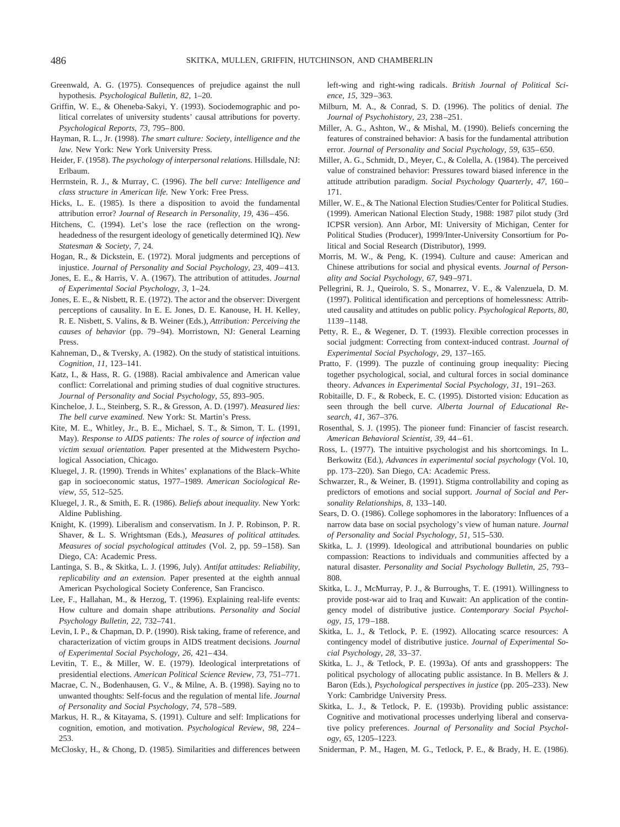- Greenwald, A. G. (1975). Consequences of prejudice against the null hypothesis*. Psychological Bulletin, 82,* 1–20.
- Griffin, W. E., & Oheneba-Sakyi, Y. (1993). Sociodemographic and political correlates of university students' causal attributions for poverty. *Psychological Reports, 73,* 795–800.
- Hayman, R. L., Jr. (1998). *The smart culture: Society, intelligence and the law.* New York: New York University Press.
- Heider, F. (1958). *The psychology of interpersonal relations.* Hillsdale, NJ: Erlbaum.
- Herrnstein, R. J., & Murray, C. (1996). *The bell curve: Intelligence and class structure in American life.* New York: Free Press.
- Hicks, L. E. (1985). Is there a disposition to avoid the fundamental attribution error? *Journal of Research in Personality, 19,* 436–456.
- Hitchens, C. (1994). Let's lose the race (reflection on the wrongheadedness of the resurgent ideology of genetically determined IQ). *New Statesman & Society, 7,* 24*.*
- Hogan, R., & Dickstein, E. (1972). Moral judgments and perceptions of injustice. *Journal of Personality and Social Psychology, 23,* 409–413.
- Jones, E. E., & Harris, V. A. (1967). The attribution of attitudes. *Journal of Experimental Social Psychology, 3,* 1–24.
- Jones, E. E., & Nisbett, R. E. (1972). The actor and the observer: Divergent perceptions of causality. In E. E. Jones, D. E. Kanouse, H. H. Kelley, R. E. Nisbett, S. Valins, & B. Weiner (Eds.), *Attribution: Perceiving the causes of behavior* (pp. 79–94). Morristown, NJ: General Learning Press.
- Kahneman, D., & Tversky, A. (1982). On the study of statistical intuitions. *Cognition, 11,* 123–141.
- Katz, I., & Hass, R. G. (1988). Racial ambivalence and American value conflict: Correlational and priming studies of dual cognitive structures. *Journal of Personality and Social Psychology, 55,* 893–905.
- Kincheloe, J. L., Steinberg, S. R., & Gresson, A. D. (1997). *Measured lies: The bell curve examined.* New York: St. Martin's Press.
- Kite, M. E., Whitley, Jr., B. E., Michael, S. T., & Simon, T. L. (1991, May). *Response to AIDS patients: The roles of source of infection and victim sexual orientation.* Paper presented at the Midwestern Psychological Association, Chicago.
- Kluegel, J. R. (1990). Trends in Whites' explanations of the Black–White gap in socioeconomic status, 1977–1989. *American Sociological Review, 55,* 512–525.
- Kluegel, J. R., & Smith, E. R. (1986). *Beliefs about inequality.* New York: Aldine Publishing.
- Knight, K. (1999). Liberalism and conservatism. In J. P. Robinson, P. R. Shaver, & L. S. Wrightsman (Eds.), *Measures of political attitudes. Measures of social psychological attitudes* (Vol. 2, pp. 59–158). San Diego, CA: Academic Press.
- Lantinga, S. B., & Skitka, L. J. (1996, July). *Antifat attitudes: Reliability, replicability and an extension.* Paper presented at the eighth annual American Psychological Society Conference, San Francisco.
- Lee, F., Hallahan, M., & Herzog, T. (1996). Explaining real-life events: How culture and domain shape attributions. *Personality and Social Psychology Bulletin, 22,* 732–741.
- Levin, I. P., & Chapman, D. P. (1990). Risk taking, frame of reference, and characterization of victim groups in AIDS treatment decisions*. Journal of Experimental Social Psychology, 26,* 421–434.
- Levitin, T. E., & Miller, W. E. (1979). Ideological interpretations of presidential elections. *American Political Science Review, 73,* 751–771.
- Macrae, C. N., Bodenhausen, G. V., & Milne, A. B. (1998). Saying no to unwanted thoughts: Self-focus and the regulation of mental life. *Journal of Personality and Social Psychology, 74,* 578–589.
- Markus, H. R., & Kitayama, S. (1991). Culture and self: Implications for cognition, emotion, and motivation. *Psychological Review, 98,* 224– 253.

McClosky, H., & Chong, D. (1985). Similarities and differences between

left-wing and right-wing radicals. *British Journal of Political Science, 15,* 329–363.

- Milburn, M. A., & Conrad, S. D. (1996). The politics of denial. *The Journal of Psychohistory, 23,* 238–251.
- Miller, A. G., Ashton, W., & Mishal, M. (1990). Beliefs concerning the features of constrained behavior: A basis for the fundamental attribution error*. Journal of Personality and Social Psychology, 59,* 635–650.
- Miller, A. G., Schmidt, D., Meyer, C., & Colella, A. (1984). The perceived value of constrained behavior: Pressures toward biased inference in the attitude attribution paradigm. *Social Psychology Quarterly, 47,* 160– 171.
- Miller, W. E., & The National Election Studies/Center for Political Studies. (1999). American National Election Study, 1988: 1987 pilot study (3rd ICPSR version). Ann Arbor, MI: University of Michigan, Center for Political Studies (Producer), 1999/Inter-University Consortium for Political and Social Research (Distributor), 1999.
- Morris, M. W., & Peng, K. (1994). Culture and cause: American and Chinese attributions for social and physical events. *Journal of Personality and Social Psychology, 67,* 949–971.
- Pellegrini, R. J., Queirolo, S. S., Monarrez, V. E., & Valenzuela, D. M. (1997). Political identification and perceptions of homelessness: Attributed causality and attitudes on public policy. *Psychological Reports, 80,* 1139–1148.
- Petty, R. E., & Wegener, D. T. (1993). Flexible correction processes in social judgment: Correcting from context-induced contrast. *Journal of Experimental Social Psychology, 29,* 137–165.
- Pratto, F. (1999). The puzzle of continuing group inequality: Piecing together psychological, social, and cultural forces in social dominance theory. *Advances in Experimental Social Psychology, 31,* 191–263.
- Robitaille, D. F., & Robeck, E. C. (1995). Distorted vision: Education as seen through the bell curve. *Alberta Journal of Educational Research, 41,* 367–376*.*
- Rosenthal, S. J. (1995). The pioneer fund: Financier of fascist research. *American Behavioral Scientist, 39,* 44–61.
- Ross, L. (1977). The intuitive psychologist and his shortcomings. In L. Berkowitz (Ed.), *Advances in experimental social psychology* (Vol. 10, pp. 173–220). San Diego, CA: Academic Press.
- Schwarzer, R., & Weiner, B. (1991). Stigma controllability and coping as predictors of emotions and social support. *Journal of Social and Personality Relationships, 8,* 133–140.
- Sears, D. O. (1986). College sophomores in the laboratory: Influences of a narrow data base on social psychology's view of human nature. *Journal of Personality and Social Psychology, 51,* 515–530.
- Skitka, L. J. (1999). Ideological and attributional boundaries on public compassion: Reactions to individuals and communities affected by a natural disaster*. Personality and Social Psychology Bulletin, 25,* 793– 808.
- Skitka, L. J., McMurray, P. J., & Burroughs, T. E. (1991). Willingness to provide post-war aid to Iraq and Kuwait: An application of the contingency model of distributive justice. *Contemporary Social Psychology, 15,* 179–188.
- Skitka, L. J., & Tetlock, P. E. (1992). Allocating scarce resources: A contingency model of distributive justice. *Journal of Experimental Social Psychology, 28,* 33–37.
- Skitka, L. J., & Tetlock, P. E. (1993a). Of ants and grasshoppers: The political psychology of allocating public assistance. In B. Mellers & J. Baron (Eds.), *Psychological perspectives in justice* (pp. 205–233). New York: Cambridge University Press.
- Skitka, L. J., & Tetlock, P. E. (1993b). Providing public assistance: Cognitive and motivational processes underlying liberal and conservative policy preferences. *Journal of Personality and Social Psychology, 65,* 1205–1223.
- Sniderman, P. M., Hagen, M. G., Tetlock, P. E., & Brady, H. E. (1986).